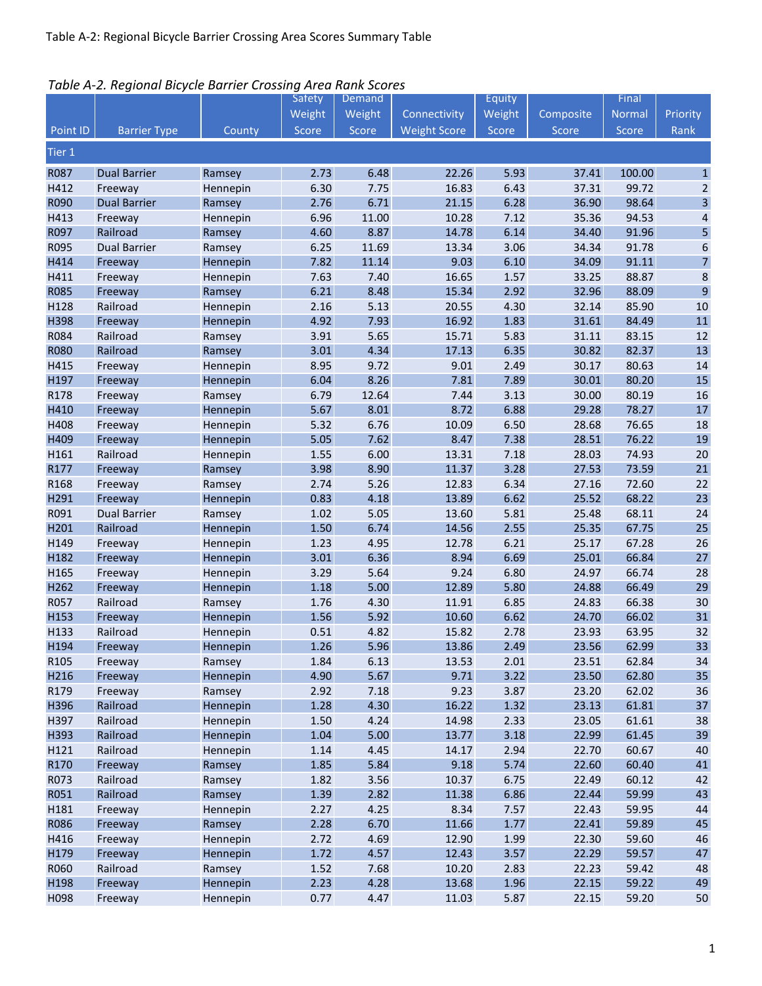| Table A-2. Regional Bicycle Barrier Crossing Area Rank Scores |  |  |
|---------------------------------------------------------------|--|--|
|---------------------------------------------------------------|--|--|

|                  |                     |                      | Safety       | Demand       |                     | Equity       |                | Final          |                         |
|------------------|---------------------|----------------------|--------------|--------------|---------------------|--------------|----------------|----------------|-------------------------|
|                  |                     |                      | Weight       | Weight       | Connectivity        | Weight       | Composite      | Normal         | Priority                |
| Point ID         | <b>Barrier Type</b> | County               | Score        | Score        | <b>Weight Score</b> | Score        | Score          | Score          | Rank                    |
| Tier 1           |                     |                      |              |              |                     |              |                |                |                         |
| R087             | <b>Dual Barrier</b> | Ramsey               | 2.73         | 6.48         | 22.26               | 5.93         | 37.41          | 100.00         | $\mathbf{1}$            |
| H412             | Freeway             | Hennepin             | 6.30         | 7.75         | 16.83               | 6.43         | 37.31          | 99.72          | $\overline{2}$          |
| R090             | <b>Dual Barrier</b> | Ramsey               | 2.76         | 6.71         | 21.15               | 6.28         | 36.90          | 98.64          | $\overline{\mathbf{3}}$ |
| H413             | Freeway             | Hennepin             | 6.96         | 11.00        | 10.28               | 7.12         | 35.36          | 94.53          | 4                       |
| R097             | Railroad            | Ramsey               | 4.60         | 8.87         | 14.78               | 6.14         | 34.40          | 91.96          | 5                       |
| R095             | <b>Dual Barrier</b> | Ramsey               | 6.25         | 11.69        | 13.34               | 3.06         | 34.34          | 91.78          | $\boldsymbol{6}$        |
| H414             | Freeway             | Hennepin             | 7.82         | 11.14        | 9.03                | 6.10         | 34.09          | 91.11          | $\overline{7}$          |
| H411             | Freeway             | Hennepin             | 7.63         | 7.40         | 16.65               | 1.57         | 33.25          | 88.87          | $\,$ 8 $\,$             |
| <b>R085</b>      | Freeway             | Ramsey               | 6.21         | 8.48         | 15.34               | 2.92         | 32.96          | 88.09          | $\boldsymbol{9}$        |
| H128             | Railroad            | Hennepin             | 2.16         | 5.13         | 20.55               | 4.30         | 32.14          | 85.90          | $10\,$                  |
| H398             | Freeway             | Hennepin             | 4.92         | 7.93         | 16.92               | 1.83         | 31.61          | 84.49          | $11\,$                  |
| R084             | Railroad            | Ramsey               | 3.91         | 5.65         | 15.71               | 5.83         | 31.11          | 83.15          | 12                      |
| <b>R080</b>      | Railroad            | Ramsey               | 3.01         | 4.34         | 17.13               | 6.35         | 30.82          | 82.37          | 13                      |
| H415             | Freeway             | Hennepin             | 8.95         | 9.72         | 9.01                | 2.49         | 30.17          | 80.63          | 14                      |
| H197             | Freeway             | Hennepin             | 6.04         | 8.26         | 7.81                | 7.89         | 30.01          | 80.20          | 15                      |
| R178             | Freeway             | Ramsey               | 6.79         | 12.64        | 7.44                | 3.13         | 30.00          | 80.19          | 16                      |
| H410             | Freeway             | Hennepin             | 5.67         | 8.01         | 8.72                | 6.88         | 29.28          | 78.27          | $17\,$                  |
| H408             | Freeway             | Hennepin             | 5.32         | 6.76         | 10.09               | 6.50         | 28.68          | 76.65          | 18                      |
| H409             | Freeway             | Hennepin             | 5.05         | 7.62         | 8.47                | 7.38         | 28.51          | 76.22          | 19                      |
| H161             | Railroad            | Hennepin             | 1.55         | 6.00         | 13.31               | 7.18         | 28.03          | 74.93          | $20\,$                  |
| R177             | Freeway             | Ramsey               | 3.98         | 8.90         | 11.37               | 3.28         | 27.53          | 73.59          | 21                      |
| R168             | Freeway             | Ramsey               | 2.74         | 5.26         | 12.83               | 6.34         | 27.16          | 72.60          | 22                      |
| H291             | Freeway             | Hennepin             | 0.83         | 4.18         | 13.89               | 6.62         | 25.52          | 68.22          | 23                      |
| R091             | <b>Dual Barrier</b> | Ramsey               | 1.02         | 5.05         | 13.60               | 5.81         | 25.48          | 68.11          | 24                      |
| H201             | Railroad            | Hennepin             | 1.50         | 6.74         | 14.56               | 2.55         | 25.35          | 67.75          | 25                      |
| H149             | Freeway             | Hennepin             | 1.23         | 4.95         | 12.78               | 6.21         | 25.17          | 67.28          | 26                      |
| H182             | Freeway             | Hennepin             | 3.01         | 6.36         | 8.94                | 6.69         | 25.01          | 66.84          | 27                      |
| H165             | Freeway             | Hennepin             | 3.29         | 5.64         | 9.24                | 6.80         | 24.97          | 66.74          | 28                      |
| H262             | Freeway             | Hennepin             | 1.18         | 5.00         | 12.89               | 5.80         | 24.88          | 66.49          | 29                      |
| R057             | Railroad            | Ramsey               | 1.76         | 4.30         | 11.91               | 6.85         | 24.83          | 66.38          | 30                      |
| H153             | Freeway             | Hennepin             | 1.56         | 5.92         | 10.60               | 6.62         | 24.70          | 66.02          | 31                      |
| H133             | Railroad            | Hennepin             | 0.51         | 4.82         | 15.82               | 2.78         | 23.93          | 63.95          | 32                      |
| H194             | Freeway             | Hennepin             | 1.26         | 5.96         | 13.86               | 2.49         | 23.56          | 62.99          | 33                      |
| R <sub>105</sub> | Freeway             | Ramsey               | 1.84         | 6.13         | 13.53               | 2.01         | 23.51          | 62.84          | 34                      |
| H216             | Freeway             | Hennepin             | 4.90         | 5.67         | 9.71                | 3.22         | 23.50          | 62.80          | 35                      |
| R179             | Freeway             | Ramsey               | 2.92         | 7.18         | 9.23                | 3.87         | 23.20          | 62.02          | $36\,$                  |
| H396             | Railroad            | Hennepin             | 1.28         | 4.30         | 16.22               | 1.32         | 23.13          | 61.81          | $37\,$                  |
| H397             | Railroad            | Hennepin             | 1.50         | 4.24         | 14.98               | 2.33         | 23.05          | 61.61          | 38                      |
| H393             | Railroad            | Hennepin             | 1.04         | 5.00         | 13.77               | 3.18         | 22.99          | 61.45          | 39                      |
| H121             | Railroad            | Hennepin             | 1.14         | 4.45         | 14.17               | 2.94         | 22.70          | 60.67          | 40                      |
| R170             | Freeway             | Ramsey               | 1.85         | 5.84         | 9.18                | 5.74         | 22.60          | 60.40          | 41                      |
| R073             | Railroad            | Ramsey               | 1.82         | 3.56         | 10.37               | 6.75         | 22.49          | 60.12          | 42                      |
| R051             | Railroad            | Ramsey               | 1.39         | 2.82         | 11.38               | 6.86         | 22.44          | 59.99          | 43                      |
| H181             | Freeway             | Hennepin             | 2.27         | 4.25<br>6.70 | 8.34                | 7.57         | 22.43          | 59.95          | 44<br>45                |
| R086<br>H416     | Freeway             | Ramsey               | 2.28<br>2.72 | 4.69         | 11.66<br>12.90      | 1.77<br>1.99 | 22.41<br>22.30 | 59.89<br>59.60 | 46                      |
| H179             | Freeway<br>Freeway  | Hennepin<br>Hennepin | 1.72         | 4.57         | 12.43               | 3.57         | 22.29          | 59.57          | 47                      |
| R060             | Railroad            |                      | 1.52         | 7.68         | 10.20               | 2.83         | 22.23          | 59.42          | 48                      |
| H198             | Freeway             | Ramsey<br>Hennepin   | 2.23         | 4.28         | 13.68               | 1.96         | 22.15          | 59.22          | 49                      |
| H098             | Freeway             | Hennepin             | 0.77         | 4.47         | 11.03               | 5.87         | 22.15          | 59.20          | 50                      |
|                  |                     |                      |              |              |                     |              |                |                |                         |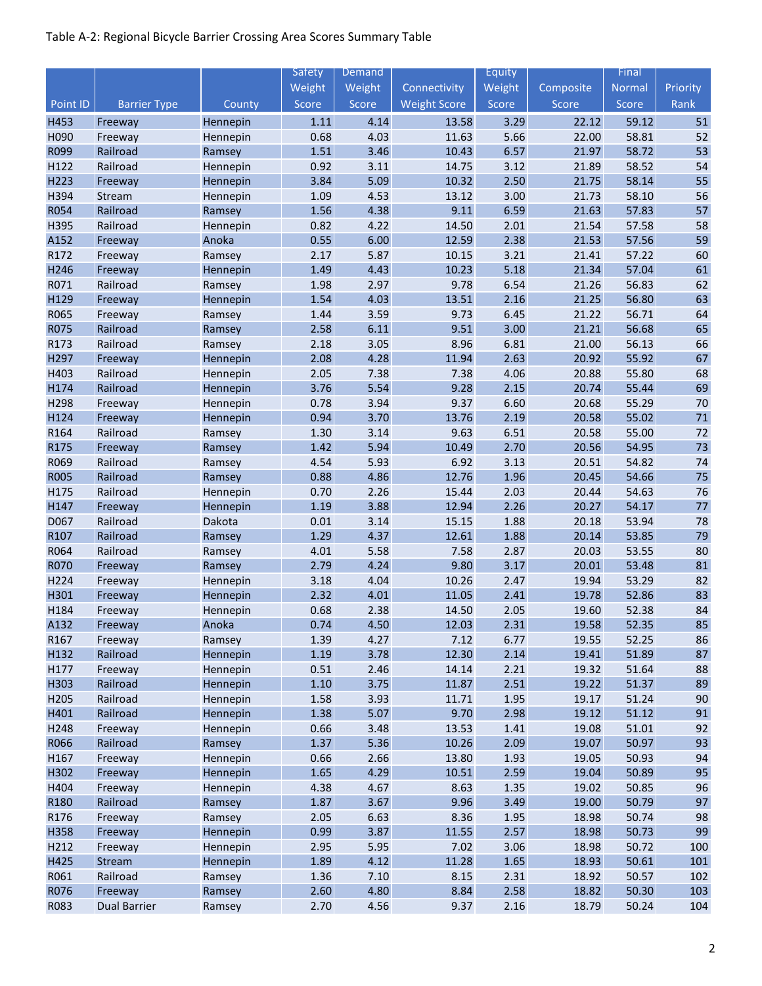|                          |                     |                    | <b>Safety</b> | Demand       |                     | Equity       |                | Final          |          |
|--------------------------|---------------------|--------------------|---------------|--------------|---------------------|--------------|----------------|----------------|----------|
|                          |                     |                    | Weight        | Weight       | Connectivity        | Weight       | Composite      | <b>Normal</b>  | Priority |
| Point ID                 | <b>Barrier Type</b> | County             | Score         | Score        | <b>Weight Score</b> | Score        | Score          | Score          | Rank     |
| H453                     | Freeway             | Hennepin           | $1.11\,$      | 4.14         | 13.58               | 3.29         | 22.12          | 59.12          | 51       |
| H090                     | Freeway             | Hennepin           | 0.68          | 4.03         | 11.63               | 5.66         | 22.00          | 58.81          | 52       |
| R099                     | Railroad            | Ramsey             | 1.51          | 3.46         | 10.43               | 6.57         | 21.97          | 58.72          | 53       |
| H122                     | Railroad            | Hennepin           | 0.92          | 3.11         | 14.75               | 3.12         | 21.89          | 58.52          | 54       |
| H223                     | Freeway             | Hennepin           | 3.84          | 5.09         | 10.32               | 2.50         | 21.75          | 58.14          | 55       |
| H394                     | Stream              | Hennepin           | 1.09          | 4.53         | 13.12               | 3.00         | 21.73          | 58.10          | 56       |
| R054                     | Railroad            | Ramsey             | 1.56          | 4.38         | 9.11                | 6.59         | 21.63          | 57.83          | 57       |
| H395                     | Railroad            | Hennepin           | 0.82          | 4.22         | 14.50               | 2.01         | 21.54          | 57.58          | 58       |
| A152                     | Freeway             | Anoka              | 0.55          | 6.00         | 12.59               | 2.38         | 21.53          | 57.56          | 59       |
| R172                     | Freeway             | Ramsey             | 2.17          | 5.87         | 10.15               | 3.21         | 21.41          | 57.22          | 60       |
| H246                     | Freeway             | Hennepin           | 1.49          | 4.43         | 10.23               | 5.18         | 21.34          | 57.04          | 61       |
| R071                     | Railroad            | Ramsey             | 1.98          | 2.97         | 9.78                | 6.54         | 21.26          | 56.83          | 62       |
| H129                     | Freeway             | Hennepin           | 1.54          | 4.03         | 13.51               | 2.16         | 21.25          | 56.80          | 63       |
| R065                     | Freeway             | Ramsey             | 1.44          | 3.59         | 9.73                | 6.45         | 21.22          | 56.71          | 64       |
| <b>R075</b>              | Railroad            | Ramsey             | 2.58          | 6.11         | 9.51                | 3.00         | 21.21          | 56.68          | 65       |
| R173                     | Railroad            | Ramsey             | 2.18          | 3.05         | 8.96                | 6.81         | 21.00          | 56.13          | 66       |
| H297                     | Freeway             | Hennepin           | 2.08          | 4.28         | 11.94               | 2.63         | 20.92          | 55.92          | 67       |
| H403                     | Railroad            | Hennepin           | 2.05          | 7.38         | 7.38                | 4.06         | 20.88          | 55.80          | 68       |
| H174                     | Railroad            | Hennepin           | 3.76          | 5.54         | 9.28                | 2.15         | 20.74          | 55.44          | 69       |
| H298                     | Freeway             | Hennepin           | 0.78          | 3.94         | 9.37                | 6.60         | 20.68          | 55.29          | 70       |
| H124                     | Freeway             | Hennepin           | 0.94          | 3.70         | 13.76               | 2.19         | 20.58          | 55.02          | $71\,$   |
| R164                     | Railroad            | Ramsey             | 1.30          | 3.14         | 9.63                | 6.51         | 20.58          | 55.00          | 72       |
| R175                     | Freeway             | Ramsey             | 1.42          | 5.94         | 10.49               | 2.70         | 20.56          | 54.95          | 73       |
| R069                     | Railroad            | Ramsey             | 4.54          | 5.93         | 6.92                | 3.13         | 20.51          | 54.82          | 74       |
| <b>R005</b>              | Railroad            | Ramsey             | 0.88          | 4.86         | 12.76               | 1.96         | 20.45          | 54.66          | 75       |
| H175                     | Railroad            | Hennepin           | 0.70          | 2.26         | 15.44               | 2.03         | 20.44          | 54.63          | 76       |
| H147                     | Freeway             | Hennepin           | 1.19          | 3.88         | 12.94               | 2.26         | 20.27          | 54.17          | 77       |
| D067                     | Railroad            | Dakota             | 0.01          | 3.14         | 15.15               | 1.88         | 20.18          | 53.94          | 78       |
| R107                     | Railroad            | Ramsey             | 1.29          | 4.37         | 12.61               | 1.88         | 20.14          | 53.85          | 79       |
| R064                     | Railroad            | Ramsey             | 4.01          | 5.58         | 7.58                | 2.87         | 20.03          | 53.55          | 80       |
| <b>R070</b>              | Freeway             | Ramsey             | 2.79          | 4.24         | 9.80                | 3.17         | 20.01          | 53.48          | 81       |
| H224                     | Freeway             | Hennepin           | 3.18          | 4.04         | 10.26               | 2.47         | 19.94          | 53.29          | 82       |
| H301                     | Freeway             | Hennepin           | 2.32          | 4.01         | 11.05               | 2.41         | 19.78          | 52.86          | 83       |
| H184                     | Freeway             | Hennepin           | 0.68          | 2.38         | 14.50               | 2.05         | 19.60          | 52.38          | 84       |
| A <sub>132</sub><br>R167 | Freeway<br>Freeway  | Anoka              | 0.74<br>1.39  | 4.50<br>4.27 | 12.03<br>7.12       | 2.31<br>6.77 | 19.58<br>19.55 | 52.35<br>52.25 | 85<br>86 |
| H132                     | Railroad            | Ramsey<br>Hennepin | 1.19          | 3.78         | 12.30               | 2.14         | 19.41          | 51.89          | 87       |
| H177                     | Freeway             | Hennepin           | 0.51          | 2.46         | 14.14               | 2.21         | 19.32          | 51.64          | 88       |
| H303                     | Railroad            | Hennepin           | $1.10\,$      | 3.75         | 11.87               | 2.51         | 19.22          | 51.37          | 89       |
| H205                     | Railroad            | Hennepin           | 1.58          | 3.93         | 11.71               | 1.95         | 19.17          | 51.24          | 90       |
| H401                     | Railroad            | Hennepin           | 1.38          | 5.07         | 9.70                | 2.98         | 19.12          | 51.12          | 91       |
| H248                     | Freeway             | Hennepin           | 0.66          | 3.48         | 13.53               | 1.41         | 19.08          | 51.01          | 92       |
| R066                     | Railroad            | Ramsey             | 1.37          | 5.36         | 10.26               | 2.09         | 19.07          | 50.97          | 93       |
| H167                     | Freeway             | Hennepin           | 0.66          | 2.66         | 13.80               | 1.93         | 19.05          | 50.93          | 94       |
| H302                     | Freeway             | Hennepin           | 1.65          | 4.29         | 10.51               | 2.59         | 19.04          | 50.89          | 95       |
| H404                     | Freeway             | Hennepin           | 4.38          | 4.67         | 8.63                | 1.35         | 19.02          | 50.85          | 96       |
| R180                     | Railroad            | Ramsey             | 1.87          | 3.67         | 9.96                | 3.49         | 19.00          | 50.79          | 97       |
| R176                     | Freeway             | Ramsey             | 2.05          | 6.63         | 8.36                | 1.95         | 18.98          | 50.74          | 98       |
| H358                     | Freeway             | Hennepin           | 0.99          | 3.87         | 11.55               | 2.57         | 18.98          | 50.73          | 99       |
| H212                     | Freeway             | Hennepin           | 2.95          | 5.95         | 7.02                | 3.06         | 18.98          | 50.72          | 100      |
| H425                     | Stream              | Hennepin           | 1.89          | 4.12         | 11.28               | 1.65         | 18.93          | 50.61          | 101      |
| R061                     | Railroad            | Ramsey             | 1.36          | 7.10         | 8.15                | 2.31         | 18.92          | 50.57          | 102      |
| R076                     | Freeway             | Ramsey             | 2.60          | 4.80         | 8.84                | 2.58         | 18.82          | 50.30          | 103      |
| R083                     | <b>Dual Barrier</b> | Ramsey             | 2.70          | 4.56         | 9.37                | 2.16         | 18.79          | 50.24          | 104      |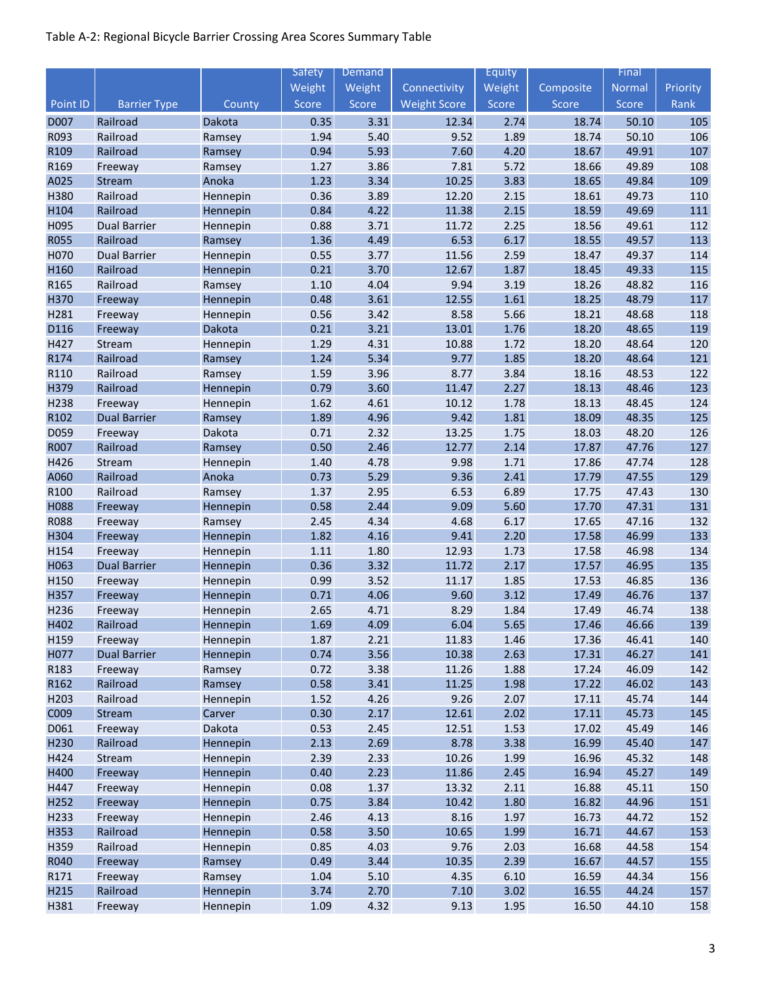|              |                      |                    | Safety       | Demand       |                     | Equity       |                | Final          |            |
|--------------|----------------------|--------------------|--------------|--------------|---------------------|--------------|----------------|----------------|------------|
|              |                      |                    | Weight       | Weight       | Connectivity        | Weight       | Composite      | Normal         | Priority   |
| Point ID     | <b>Barrier Type</b>  | County             | Score        | Score        | <b>Weight Score</b> | Score        | Score          | Score          | Rank       |
| D007         | Railroad             | Dakota             | 0.35         | 3.31         | 12.34               | 2.74         | 18.74          | 50.10          | 105        |
| R093         | Railroad             | Ramsey             | 1.94         | 5.40         | 9.52                | 1.89         | 18.74          | 50.10          | 106        |
| R109         | Railroad             | Ramsey             | 0.94         | 5.93         | 7.60                | 4.20         | 18.67          | 49.91          | 107        |
| R169         | Freeway              | Ramsey             | 1.27         | 3.86         | 7.81                | 5.72         | 18.66          | 49.89          | 108        |
| A025         | Stream               | Anoka              | 1.23         | 3.34         | 10.25               | 3.83         | 18.65          | 49.84          | 109        |
| H380         | Railroad             | Hennepin           | 0.36         | 3.89         | 12.20               | 2.15         | 18.61          | 49.73          | 110        |
| H104         | Railroad             | Hennepin           | 0.84         | 4.22         | 11.38               | 2.15         | 18.59          | 49.69          | 111        |
| H095         | <b>Dual Barrier</b>  | Hennepin           | 0.88         | 3.71         | 11.72               | 2.25         | 18.56          | 49.61          | 112        |
| <b>R055</b>  | Railroad             | Ramsey             | 1.36         | 4.49         | 6.53                | 6.17         | 18.55          | 49.57          | 113        |
| H070         | <b>Dual Barrier</b>  | Hennepin           | 0.55         | 3.77         | 11.56               | 2.59         | 18.47          | 49.37          | 114        |
| H160         | Railroad             | Hennepin           | 0.21         | 3.70         | 12.67               | 1.87         | 18.45          | 49.33          | 115        |
| R165         | Railroad             | Ramsey             | 1.10         | 4.04         | 9.94                | 3.19         | 18.26          | 48.82          | 116        |
| H370         | Freeway              | Hennepin           | 0.48         | 3.61         | 12.55               | 1.61         | 18.25          | 48.79          | 117        |
| H281         | Freeway              | Hennepin           | 0.56         | 3.42         | 8.58                | 5.66         | 18.21          | 48.68          | 118        |
| D116         | Freeway              | Dakota             | 0.21         | 3.21         | 13.01               | 1.76         | 18.20          | 48.65          | 119        |
| H427         | Stream               | Hennepin           | 1.29         | 4.31         | 10.88               | 1.72         | 18.20          | 48.64          | 120        |
| R174         | Railroad             | Ramsey             | 1.24         | 5.34         | 9.77                | 1.85         | 18.20          | 48.64          | 121        |
| R110         | Railroad             | Ramsey             | 1.59         | 3.96         | 8.77                | 3.84         | 18.16          | 48.53          | 122        |
| H379         | Railroad             | Hennepin           | 0.79         | 3.60         | 11.47               | 2.27         | 18.13          | 48.46          | 123        |
| H238         | Freeway              | Hennepin           | 1.62         | 4.61         | 10.12               | 1.78         | 18.13          | 48.45          | 124        |
| R102         | <b>Dual Barrier</b>  | Ramsey             | 1.89         | 4.96         | 9.42                | 1.81         | 18.09          | 48.35          | 125        |
| D059         | Freeway              | Dakota             | 0.71         | 2.32         | 13.25               | 1.75         | 18.03          | 48.20          | 126        |
| R007         | Railroad             | Ramsey             | 0.50         | 2.46         | 12.77               | 2.14         | 17.87          | 47.76          | 127        |
| H426         | Stream               | Hennepin           | 1.40         | 4.78         | 9.98                | 1.71         | 17.86          | 47.74          | 128        |
| A060         | Railroad             | Anoka              | 0.73         | 5.29         | 9.36                | 2.41         | 17.79          | 47.55          | 129        |
| R100         | Railroad             | Ramsey             | 1.37         | 2.95         | 6.53                | 6.89         | 17.75          | 47.43          | 130        |
| H088         | Freeway              | Hennepin           | 0.58         | 2.44         | 9.09                | 5.60         | 17.70          | 47.31          | 131        |
| <b>R088</b>  | Freeway              | Ramsey             | 2.45         | 4.34         | 4.68                | 6.17         | 17.65          | 47.16          | 132        |
| H304         | Freeway              | Hennepin           | 1.82         | 4.16         | 9.41                | 2.20         | 17.58          | 46.99          | 133        |
| H154         | Freeway              | Hennepin           | 1.11         | 1.80         | 12.93               | 1.73         | 17.58          | 46.98          | 134        |
| H063         | <b>Dual Barrier</b>  | Hennepin           | 0.36         | 3.32         | 11.72               | 2.17         | 17.57          | 46.95          | 135        |
| H150         | Freeway              | Hennepin           | 0.99         | 3.52         | 11.17               | 1.85         | 17.53          | 46.85          | 136        |
| H357         | Freeway              | Hennepin           | 0.71         | 4.06         | 9.60                | 3.12         | 17.49          | 46.76          | 137        |
| H236         | Freeway              | Hennepin           | 2.65         | 4.71         | 8.29                | 1.84         | 17.49          | 46.74          | 138        |
| H402         | Railroad             | Hennepin           | 1.69         | 4.09         | 6.04                | 5.65         | 17.46          | 46.66          | 139        |
| H159         | Freeway              | Hennepin           | 1.87         | 2.21         | 11.83               | 1.46         | 17.36          | 46.41          | 140        |
| H077         | <b>Dual Barrier</b>  | Hennepin           | 0.74         | 3.56         | 10.38               | 2.63         | 17.31          | 46.27          | 141        |
| R183         | Freeway              | Ramsey             | 0.72         | 3.38<br>3.41 | 11.26               | 1.88<br>1.98 | 17.24          | 46.09          | 142<br>143 |
| R162<br>H203 | Railroad<br>Railroad | Ramsey             | 0.58         | 4.26         | 11.25<br>9.26       | 2.07         | 17.22          | 46.02<br>45.74 | 144        |
| C009         |                      | Hennepin<br>Carver | 1.52         | 2.17         | 12.61               | 2.02         | 17.11<br>17.11 | 45.73          | 145        |
| D061         | Stream               | Dakota             | 0.30<br>0.53 | 2.45         | 12.51               | 1.53         | 17.02          | 45.49          | 146        |
| H230         | Freeway<br>Railroad  | Hennepin           | 2.13         | 2.69         | 8.78                | 3.38         | 16.99          | 45.40          | 147        |
| H424         | Stream               | Hennepin           | 2.39         | 2.33         | 10.26               | 1.99         | 16.96          | 45.32          | 148        |
| H400         | Freeway              | Hennepin           | 0.40         | 2.23         | 11.86               | 2.45         | 16.94          | 45.27          | 149        |
| H447         | Freeway              | Hennepin           | 0.08         | 1.37         | 13.32               | 2.11         | 16.88          | 45.11          | 150        |
| H252         | Freeway              | Hennepin           | 0.75         | 3.84         | 10.42               | 1.80         | 16.82          | 44.96          | 151        |
| H233         | Freeway              | Hennepin           | 2.46         | 4.13         | 8.16                | 1.97         | 16.73          | 44.72          | 152        |
| H353         | Railroad             | Hennepin           | 0.58         | 3.50         | 10.65               | 1.99         | 16.71          | 44.67          | 153        |
| H359         | Railroad             | Hennepin           | 0.85         | 4.03         | 9.76                | 2.03         | 16.68          | 44.58          | 154        |
| R040         | Freeway              | Ramsey             | 0.49         | 3.44         | 10.35               | 2.39         | 16.67          | 44.57          | 155        |
| R171         | Freeway              | Ramsey             | 1.04         | 5.10         | 4.35                | 6.10         | 16.59          | 44.34          | 156        |
| H215         | Railroad             | Hennepin           | 3.74         | 2.70         | 7.10                | 3.02         | 16.55          | 44.24          | 157        |
| H381         | Freeway              | Hennepin           | 1.09         | 4.32         | 9.13                | 1.95         | 16.50          | 44.10          | 158        |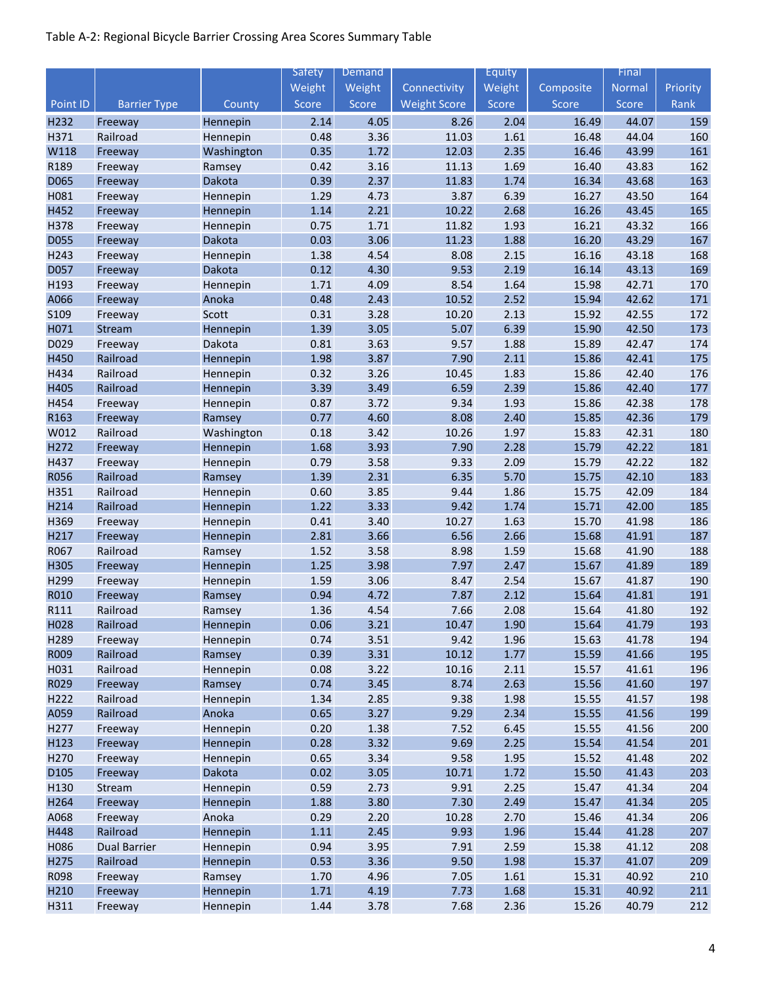|                  |                     |                      | Safety       | Demand       |                     | Equity       |                | Final          |            |
|------------------|---------------------|----------------------|--------------|--------------|---------------------|--------------|----------------|----------------|------------|
|                  |                     |                      | Weight       | Weight       | Connectivity        | Weight       | Composite      | <b>Normal</b>  | Priority   |
| Point ID         | <b>Barrier Type</b> | County               | Score        | Score        | <b>Weight Score</b> | Score        | Score          | Score          | Rank       |
| H232             | Freeway             | Hennepin             | 2.14         | 4.05         | 8.26                | 2.04         | 16.49          | 44.07          | 159        |
| H371             | Railroad            | Hennepin             | 0.48         | 3.36         | 11.03               | 1.61         | 16.48          | 44.04          | 160        |
| W118             | Freeway             | Washington           | 0.35         | 1.72         | 12.03               | 2.35         | 16.46          | 43.99          | 161        |
| R189             | Freeway             | Ramsey               | 0.42         | 3.16         | 11.13               | 1.69         | 16.40          | 43.83          | 162        |
| D065             | Freeway             | Dakota               | 0.39         | 2.37         | 11.83               | 1.74         | 16.34          | 43.68          | 163        |
| H081             | Freeway             | Hennepin             | 1.29         | 4.73         | 3.87                | 6.39         | 16.27          | 43.50          | 164        |
| H452             | Freeway             | Hennepin             | 1.14         | 2.21         | 10.22               | 2.68         | 16.26          | 43.45          | 165        |
| H378             | Freeway             | Hennepin             | 0.75         | 1.71         | 11.82               | 1.93         | 16.21          | 43.32          | 166        |
| <b>D055</b>      | Freeway             | Dakota               | 0.03         | 3.06         | 11.23               | 1.88         | 16.20          | 43.29          | 167        |
| H243             | Freeway             | Hennepin             | 1.38         | 4.54         | 8.08                | 2.15         | 16.16          | 43.18          | 168        |
| D057             | Freeway             | Dakota               | 0.12         | 4.30         | 9.53                | 2.19         | 16.14          | 43.13          | 169        |
| H193             | Freeway             | Hennepin             | 1.71         | 4.09         | 8.54                | 1.64         | 15.98          | 42.71          | 170        |
| A066             | Freeway             | Anoka                | 0.48         | 2.43         | 10.52               | 2.52         | 15.94          | 42.62          | 171        |
| S109             | Freeway             | Scott                | 0.31         | 3.28         | 10.20               | 2.13         | 15.92          | 42.55          | 172        |
| H071             | Stream              | Hennepin             | 1.39         | 3.05         | 5.07                | 6.39         | 15.90          | 42.50          | 173        |
| D029             | Freeway             | Dakota               | 0.81         | 3.63         | 9.57                | 1.88         | 15.89          | 42.47          | 174        |
| H450             | Railroad            | Hennepin             | 1.98         | 3.87         | 7.90                | 2.11         | 15.86          | 42.41          | 175        |
| H434             | Railroad            | Hennepin             | 0.32         | 3.26         | 10.45               | 1.83         | 15.86          | 42.40          | 176        |
| H405             | Railroad            | Hennepin             | 3.39         | 3.49         | 6.59                | 2.39         | 15.86          | 42.40          | 177        |
| H454             | Freeway             | Hennepin             | 0.87         | 3.72         | 9.34                | 1.93         | 15.86          | 42.38          | 178        |
| R163             | Freeway             | Ramsey               | 0.77         | 4.60         | 8.08                | 2.40         | 15.85          | 42.36          | 179        |
| W012             | Railroad            | Washington           | 0.18         | 3.42         | 10.26               | 1.97         | 15.83          | 42.31          | 180        |
| H272             | Freeway             | Hennepin             | 1.68         | 3.93         | 7.90                | 2.28         | 15.79          | 42.22          | 181        |
| H437             | Freeway             | Hennepin             | 0.79         | 3.58         | 9.33                | 2.09         | 15.79          | 42.22          | 182        |
| <b>R056</b>      | Railroad            | Ramsey               | 1.39         | 2.31         | 6.35                | 5.70         | 15.75          | 42.10          | 183        |
| H351             | Railroad            | Hennepin             | 0.60         | 3.85         | 9.44                | 1.86         | 15.75          | 42.09          | 184        |
| H214             | Railroad            | Hennepin             | 1.22         | 3.33         | 9.42                | 1.74         | 15.71          | 42.00          | 185        |
| H369             | Freeway             | Hennepin             | 0.41         | 3.40         | 10.27               | 1.63         | 15.70          | 41.98          | 186        |
| H217             | Freeway             | Hennepin             | 2.81         | 3.66         | 6.56                | 2.66         | 15.68          | 41.91          | 187        |
| R067             | Railroad            | Ramsey               | 1.52         | 3.58         | 8.98                | 1.59         | 15.68          | 41.90          | 188        |
| H305             | Freeway             | Hennepin             | 1.25         | 3.98         | 7.97                | 2.47         | 15.67          | 41.89          | 189        |
| H299             | Freeway             | Hennepin             | 1.59         | 3.06         | 8.47                | 2.54         | 15.67          | 41.87          | 190        |
| R010             | Freeway             | Ramsey               | 0.94         | 4.72         | 7.87                | 2.12         | 15.64          | 41.81          | 191        |
| R111             | Railroad            | Ramsey               | 1.36         | 4.54         | 7.66                | 2.08         | 15.64          | 41.80          | 192        |
| H <sub>028</sub> | Railroad            | Hennepin             | 0.06         | 3.21         | 10.47               | 1.90         | 15.64          | 41.79          | 193        |
| H289             | Freeway             | Hennepin             | 0.74         | 3.51         | 9.42                | 1.96         | 15.63          | 41.78          | 194        |
| R009             | Railroad            | Ramsey               | 0.39         | 3.31         | 10.12               | 1.77         | 15.59          | 41.66          | 195        |
| H031             | Railroad            | Hennepin             | 0.08         | 3.22         | 10.16               | 2.11         | 15.57          | 41.61          | 196        |
| R029             | Freeway             | Ramsey               | 0.74         | 3.45         | 8.74                | 2.63         | 15.56          | 41.60          | 197        |
| H222             | Railroad            | Hennepin             | 1.34         | 2.85         | 9.38                | 1.98         | 15.55          | 41.57          | 198        |
| A059             | Railroad            | Anoka                | 0.65         | 3.27         | 9.29                | 2.34         | 15.55          | 41.56          | 199        |
| H277             | Freeway             | Hennepin             | 0.20         | 1.38         | 7.52                | 6.45         | 15.55          | 41.56          | 200        |
| H123             | Freeway             | Hennepin             | 0.28         | 3.32         | 9.69                | 2.25         | 15.54          | 41.54          | 201        |
| H270             | Freeway             | Hennepin             | 0.65         | 3.34         | 9.58                | 1.95         | 15.52          | 41.48          | 202        |
| D <sub>105</sub> | Freeway             | Dakota               | 0.02         | 3.05         | 10.71               | 1.72         | 15.50          | 41.43          | 203        |
| H130             | Stream              | Hennepin             | 0.59         | 2.73         | 9.91                | 2.25         | 15.47          | 41.34          | 204        |
| H264             | Freeway             | Hennepin             | 1.88         | 3.80         | 7.30                | 2.49         | 15.47          | 41.34          | 205        |
| A068             | Freeway             | Anoka                | 0.29         | 2.20         | 10.28               | 2.70         | 15.46          | 41.34          | 206        |
| H448             | Railroad            | Hennepin             | $1.11\,$     | 2.45         | 9.93                | 1.96         | 15.44          | 41.28          | 207        |
| H086             | <b>Dual Barrier</b> | Hennepin             | 0.94         | 3.95         | 7.91                | 2.59         | 15.38          | 41.12          | 208        |
| H275             | Railroad            | Hennepin             | 0.53         | 3.36         | 9.50                | 1.98         | 15.37          | 41.07          | 209        |
| R098             | Freeway             | Ramsey               | 1.70         | 4.96<br>4.19 | 7.05<br>7.73        | 1.61         | 15.31<br>15.31 | 40.92<br>40.92 | 210<br>211 |
| H210<br>H311     | Freeway<br>Freeway  | Hennepin<br>Hennepin | 1.71<br>1.44 | 3.78         | 7.68                | 1.68<br>2.36 | 15.26          | 40.79          | 212        |
|                  |                     |                      |              |              |                     |              |                |                |            |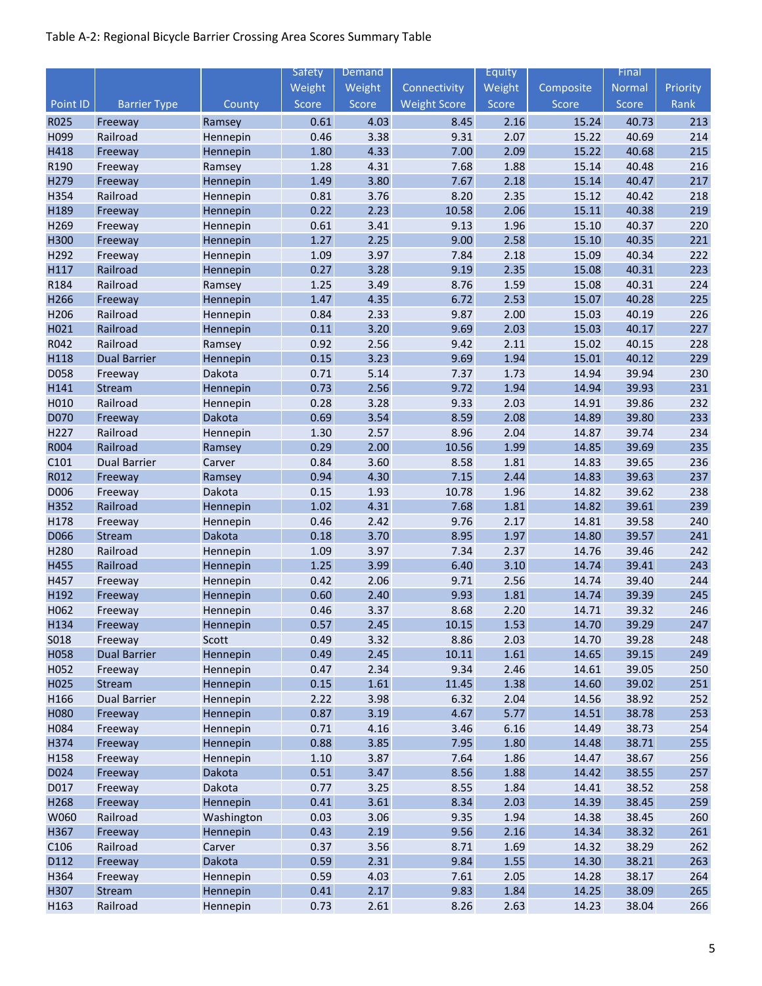|                  |                     |                    | Safety       | Demand       |                     | Equity       |                | Final          |            |
|------------------|---------------------|--------------------|--------------|--------------|---------------------|--------------|----------------|----------------|------------|
|                  |                     |                    | Weight       | Weight       | Connectivity        | Weight       | Composite      | <b>Normal</b>  | Priority   |
| Point ID         | <b>Barrier Type</b> | County             | Score        | Score        | <b>Weight Score</b> | Score        | Score          | Score          | Rank       |
| R025             | Freeway             | Ramsey             | 0.61         | 4.03         | 8.45                | 2.16         | 15.24          | 40.73          | 213        |
| H099             | Railroad            | Hennepin           | 0.46         | 3.38         | 9.31                | 2.07         | 15.22          | 40.69          | 214        |
| H418             | Freeway             | Hennepin           | 1.80         | 4.33         | 7.00                | 2.09         | 15.22          | 40.68          | 215        |
| R190             | Freeway             | Ramsey             | 1.28         | 4.31         | 7.68                | 1.88         | 15.14          | 40.48          | 216        |
| H279             | Freeway             | Hennepin           | 1.49         | 3.80         | 7.67                | 2.18         | 15.14          | 40.47          | 217        |
| H354             | Railroad            | Hennepin           | 0.81         | 3.76         | 8.20                | 2.35         | 15.12          | 40.42          | 218        |
| H189             | Freeway             | Hennepin           | 0.22         | 2.23         | 10.58               | 2.06         | 15.11          | 40.38          | 219        |
| H269             | Freeway             | Hennepin           | 0.61         | 3.41         | 9.13                | 1.96         | 15.10          | 40.37          | 220        |
| H300             | Freeway             | Hennepin           | 1.27         | 2.25         | 9.00                | 2.58         | 15.10          | 40.35          | 221        |
| H292             | Freeway             | Hennepin           | 1.09         | 3.97         | 7.84                | 2.18         | 15.09          | 40.34          | 222        |
| H117             | Railroad            | Hennepin           | 0.27         | 3.28         | 9.19                | 2.35         | 15.08          | 40.31          | 223        |
| R184             | Railroad            | Ramsey             | 1.25         | 3.49         | 8.76                | 1.59         | 15.08          | 40.31          | 224        |
| H266             | Freeway             | Hennepin           | 1.47         | 4.35         | 6.72                | 2.53         | 15.07          | 40.28          | 225        |
| H206             | Railroad            | Hennepin           | 0.84         | 2.33         | 9.87                | 2.00         | 15.03          | 40.19          | 226        |
| H021             | Railroad            | Hennepin           | 0.11         | 3.20         | 9.69                | 2.03         | 15.03          | 40.17          | 227        |
| R042             | Railroad            | Ramsey             | 0.92         | 2.56         | 9.42                | 2.11         | 15.02          | 40.15          | 228        |
| H118             | <b>Dual Barrier</b> | Hennepin           | 0.15         | 3.23         | 9.69                | 1.94         | 15.01          | 40.12          | 229        |
| D058             | Freeway             | Dakota             | 0.71         | 5.14         | 7.37                | 1.73         | 14.94          | 39.94          | 230        |
| H141             | Stream              | Hennepin           | 0.73         | 2.56         | 9.72                | 1.94         | 14.94          | 39.93          | 231        |
| H010             | Railroad            | Hennepin           | 0.28         | 3.28         | 9.33                | 2.03         | 14.91          | 39.86          | 232        |
| D070             | Freeway             | Dakota             | 0.69         | 3.54         | 8.59                | 2.08         | 14.89          | 39.80          | 233        |
| H227             | Railroad            | Hennepin           | 1.30         | 2.57         | 8.96                | 2.04         | 14.87          | 39.74          | 234        |
| R004             | Railroad            | Ramsey             | 0.29         | 2.00         | 10.56               | 1.99         | 14.85          | 39.69          | 235        |
| C101             | <b>Dual Barrier</b> | Carver             | 0.84         | 3.60         | 8.58                | 1.81         | 14.83          | 39.65          | 236        |
| R012             | Freeway             | Ramsey             | 0.94         | 4.30         | 7.15                | 2.44         | 14.83          | 39.63          | 237        |
| D006<br>H352     | Freeway<br>Railroad | Dakota<br>Hennepin | 0.15<br>1.02 | 1.93<br>4.31 | 10.78<br>7.68       | 1.96<br>1.81 | 14.82<br>14.82 | 39.62<br>39.61 | 238<br>239 |
| H178             |                     |                    | 0.46         | 2.42         | 9.76                | 2.17         | 14.81          | 39.58          | 240        |
| D066             | Freeway<br>Stream   | Hennepin<br>Dakota | 0.18         | 3.70         | 8.95                | 1.97         | 14.80          | 39.57          | 241        |
| H280             | Railroad            | Hennepin           | 1.09         | 3.97         | 7.34                | 2.37         | 14.76          | 39.46          | 242        |
| H455             | Railroad            | Hennepin           | 1.25         | 3.99         | 6.40                | 3.10         | 14.74          | 39.41          | 243        |
| H457             | Freeway             | Hennepin           | 0.42         | 2.06         | 9.71                | 2.56         | 14.74          | 39.40          | 244        |
| H192             | Freeway             | Hennepin           | 0.60         | 2.40         | 9.93                | 1.81         | 14.74          | 39.39          | 245        |
| H062             | Freeway             | Hennepin           | 0.46         | 3.37         | 8.68                | 2.20         | 14.71          | 39.32          | 246        |
| H <sub>134</sub> | Freeway             | Hennepin           | 0.57         | 2.45         | 10.15               | 1.53         | 14.70          | 39.29          | 247        |
| S018             | Freeway             | Scott              | 0.49         | 3.32         | 8.86                | 2.03         | 14.70          | 39.28          | 248        |
| H058             | <b>Dual Barrier</b> | Hennepin           | 0.49         | 2.45         | 10.11               | 1.61         | 14.65          | 39.15          | 249        |
| H052             | Freeway             | Hennepin           | 0.47         | 2.34         | 9.34                | 2.46         | 14.61          | 39.05          | 250        |
| H025             | Stream              | Hennepin           | 0.15         | 1.61         | 11.45               | 1.38         | 14.60          | 39.02          | 251        |
| H166             | <b>Dual Barrier</b> | Hennepin           | 2.22         | 3.98         | 6.32                | 2.04         | 14.56          | 38.92          | 252        |
| H080             | Freeway             | Hennepin           | 0.87         | 3.19         | 4.67                | 5.77         | 14.51          | 38.78          | 253        |
| H084             | Freeway             | Hennepin           | 0.71         | 4.16         | 3.46                | 6.16         | 14.49          | 38.73          | 254        |
| H374             | Freeway             | Hennepin           | 0.88         | 3.85         | 7.95                | 1.80         | 14.48          | 38.71          | 255        |
| H158             | Freeway             | Hennepin           | $1.10\,$     | 3.87         | 7.64                | 1.86         | 14.47          | 38.67          | 256        |
| D024             | Freeway             | Dakota             | 0.51         | 3.47         | 8.56                | 1.88         | 14.42          | 38.55          | 257        |
| D017             | Freeway             | Dakota             | 0.77         | 3.25         | 8.55                | 1.84         | 14.41          | 38.52          | 258        |
| H268             | Freeway             | Hennepin           | 0.41         | 3.61         | 8.34                | 2.03         | 14.39          | 38.45          | 259        |
| W060             | Railroad            | Washington         | 0.03         | 3.06         | 9.35                | 1.94         | 14.38          | 38.45          | 260        |
| H367             | Freeway             | Hennepin           | 0.43         | 2.19         | 9.56                | 2.16         | 14.34          | 38.32          | 261        |
| C106             | Railroad            | Carver             | 0.37         | 3.56         | 8.71                | 1.69         | 14.32          | 38.29          | 262        |
| D112             | Freeway             | Dakota             | 0.59         | 2.31         | 9.84                | 1.55         | 14.30          | 38.21          | 263        |
| H364             | Freeway             | Hennepin           | 0.59         | 4.03         | 7.61                | 2.05         | 14.28          | 38.17          | 264        |
| H307             | Stream              | Hennepin           | 0.41         | 2.17         | 9.83                | 1.84         | 14.25          | 38.09          | 265        |
| H163             | Railroad            | Hennepin           | 0.73         | 2.61         | 8.26                | 2.63         | 14.23          | 38.04          | 266        |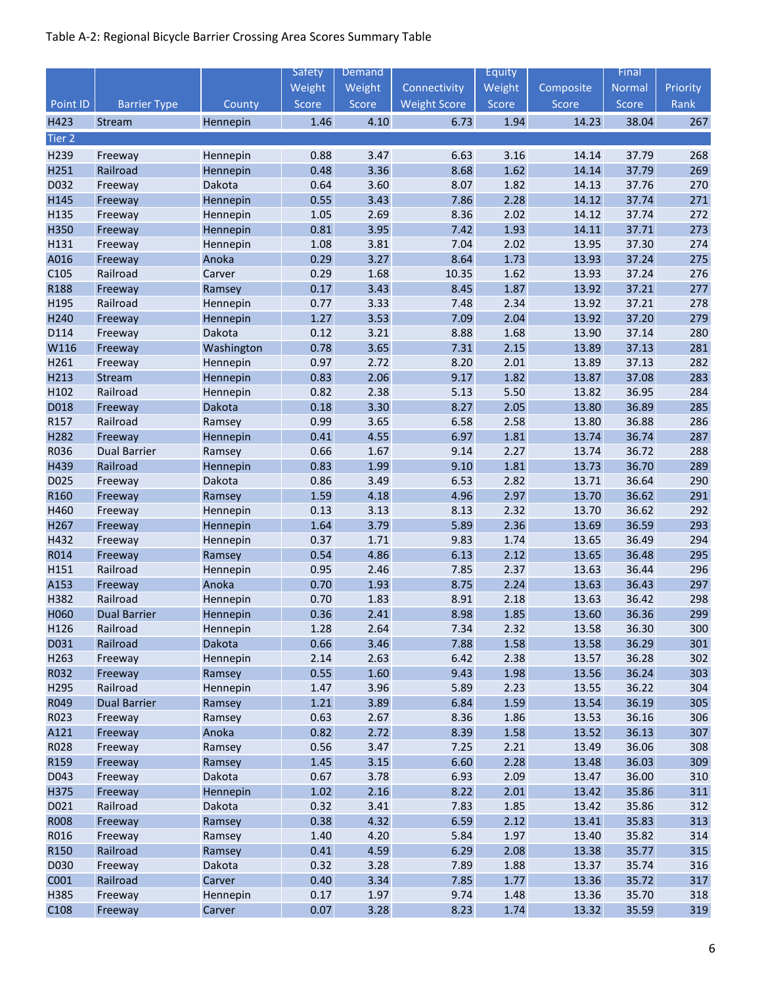|                   |                     |                      | Safety       | Demand       |                     | Equity       |                | Final          |            |
|-------------------|---------------------|----------------------|--------------|--------------|---------------------|--------------|----------------|----------------|------------|
|                   |                     |                      | Weight       | Weight       | Connectivity        | Weight       | Composite      | Normal         | Priority   |
| Point ID          | <b>Barrier Type</b> | County               | Score        | Score        | <b>Weight Score</b> | Score        | Score          | Score          | Rank       |
| H423              | Stream              | Hennepin             | 1.46         | 4.10         | 6.73                | 1.94         | 14.23          | 38.04          | 267        |
| Tier <sub>2</sub> |                     |                      |              |              |                     |              |                |                |            |
| H239              | Freeway             | Hennepin             | 0.88         | 3.47         | 6.63                | 3.16         | 14.14          | 37.79          | 268        |
| H251              | Railroad            | Hennepin             | 0.48         | 3.36         | 8.68                | 1.62         | 14.14          | 37.79          | 269        |
| D032              | Freeway             | Dakota               | 0.64         | 3.60         | 8.07                | 1.82         | 14.13          | 37.76          | 270        |
| H145              | Freeway             | Hennepin             | 0.55         | 3.43         | 7.86                | 2.28         | 14.12          | 37.74          | 271        |
| H135              | Freeway             | Hennepin             | 1.05         | 2.69         | 8.36                | 2.02         | 14.12          | 37.74          | 272        |
| H350              | Freeway             | Hennepin             | 0.81         | 3.95         | 7.42                | 1.93         | 14.11          | 37.71          | 273        |
| H131              | Freeway             | Hennepin             | 1.08         | 3.81         | 7.04                | 2.02         | 13.95          | 37.30          | 274        |
| A016              | Freeway             | Anoka                | 0.29         | 3.27         | 8.64                | 1.73         | 13.93          | 37.24          | 275        |
| C105              | Railroad            | Carver               | 0.29         | 1.68         | 10.35               | 1.62         | 13.93          | 37.24          | 276        |
| R188              | Freeway             | Ramsey               | 0.17         | 3.43         | 8.45                | 1.87         | 13.92          | 37.21          | 277        |
| H195              | Railroad            | Hennepin             | 0.77         | 3.33         | 7.48                | 2.34         | 13.92          | 37.21          | 278        |
| H240              | Freeway             | Hennepin             | 1.27         | 3.53         | 7.09                | 2.04         | 13.92          | 37.20          | 279        |
| D114              | Freeway             | Dakota               | 0.12         | 3.21         | 8.88                | 1.68         | 13.90          | 37.14          | 280        |
| W116              | Freeway             | Washington           | 0.78         | 3.65         | 7.31                | 2.15         | 13.89          | 37.13          | 281        |
| H261              | Freeway             | Hennepin             | 0.97         | 2.72         | 8.20                | 2.01         | 13.89          | 37.13          | 282        |
| H213              | Stream              | Hennepin             | 0.83         | 2.06         | 9.17                | 1.82         | 13.87          | 37.08          | 283        |
| H102              | Railroad            | Hennepin             | 0.82         | 2.38         | 5.13                | 5.50         | 13.82          | 36.95          | 284        |
| D018              | Freeway             | Dakota               | 0.18         | 3.30         | 8.27                | 2.05         | 13.80          | 36.89          | 285        |
| R157              | Railroad            | Ramsey               | 0.99         | 3.65         | 6.58                | 2.58         | 13.80          | 36.88          | 286        |
| H282              | Freeway             | Hennepin             | 0.41         | 4.55         | 6.97                | 1.81         | 13.74          | 36.74          | 287        |
| R036              | <b>Dual Barrier</b> | Ramsey               | 0.66         | 1.67         | 9.14                | 2.27         | 13.74          | 36.72          | 288        |
| H439              | Railroad            | Hennepin             | 0.83         | 1.99         | 9.10                | 1.81         | 13.73          | 36.70          | 289        |
| D025              | Freeway             | Dakota               | 0.86         | 3.49         | 6.53                | 2.82         | 13.71          | 36.64          | 290        |
| R160              | Freeway             | Ramsey               | 1.59         | 4.18         | 4.96                | 2.97         | 13.70          | 36.62          | 291        |
| H460              | Freeway             | Hennepin             | 0.13         | 3.13         | 8.13                | 2.32         | 13.70          | 36.62          | 292        |
| H267              | Freeway             | Hennepin             | 1.64         | 3.79         | 5.89                | 2.36         | 13.69          | 36.59          | 293        |
| H432              | Freeway             | Hennepin             | 0.37         | 1.71         | 9.83                | 1.74         | 13.65          | 36.49          | 294        |
| R014              | Freeway             | Ramsey               | 0.54         | 4.86         | 6.13                | 2.12         | 13.65          | 36.48          | 295        |
| H151              | Railroad            | Hennepin             | 0.95         | 2.46         | 7.85                | 2.37         | 13.63          | 36.44          | 296        |
| A153              | Freeway             | Anoka                | 0.70         | 1.93         | 8.75                | 2.24         | 13.63          | 36.43          | 297        |
| H382              | Railroad            | Hennepin             | 0.70         | 1.83         | 8.91                | 2.18         | 13.63          | 36.42          | 298        |
| H060              | <b>Dual Barrier</b> | Hennepin<br>Hennepin | 0.36         | 2.41         | 8.98                | 1.85         | 13.60          | 36.36          | 299        |
| H126              | Railroad            | Dakota               | 1.28         | 2.64<br>3.46 | 7.34                | 2.32         | 13.58<br>13.58 | 36.30          | 300<br>301 |
| D031<br>H263      | Railroad            |                      | 0.66<br>2.14 | 2.63         | 7.88<br>6.42        | 1.58<br>2.38 | 13.57          | 36.29<br>36.28 | 302        |
| R032              | Freeway<br>Freeway  | Hennepin<br>Ramsey   | 0.55         | 1.60         | 9.43                | 1.98         | 13.56          | 36.24          | 303        |
| H295              | Railroad            | Hennepin             | 1.47         | 3.96         | 5.89                | 2.23         | 13.55          | 36.22          | 304        |
| R049              | <b>Dual Barrier</b> | Ramsey               | 1.21         | 3.89         | 6.84                | 1.59         | 13.54          | 36.19          | 305        |
| R023              | Freeway             | Ramsey               | 0.63         | 2.67         | 8.36                | 1.86         | 13.53          | 36.16          | 306        |
| A121              | Freeway             | Anoka                | 0.82         | 2.72         | 8.39                | 1.58         | 13.52          | 36.13          | 307        |
| R028              | Freeway             | Ramsey               | 0.56         | 3.47         | 7.25                | 2.21         | 13.49          | 36.06          | 308        |
| R159              | Freeway             | Ramsey               | 1.45         | 3.15         | 6.60                | 2.28         | 13.48          | 36.03          | 309        |
| D043              | Freeway             | Dakota               | 0.67         | 3.78         | 6.93                | 2.09         | 13.47          | 36.00          | 310        |
| H375              | Freeway             | Hennepin             | 1.02         | 2.16         | 8.22                | 2.01         | 13.42          | 35.86          | 311        |
| D021              | Railroad            | Dakota               | 0.32         | 3.41         | 7.83                | 1.85         | 13.42          | 35.86          | 312        |
| <b>R008</b>       | Freeway             | Ramsey               | 0.38         | 4.32         | 6.59                | 2.12         | 13.41          | 35.83          | 313        |
| R016              | Freeway             | Ramsey               | 1.40         | 4.20         | 5.84                | 1.97         | 13.40          | 35.82          | 314        |
| R150              | Railroad            | Ramsey               | 0.41         | 4.59         | 6.29                | 2.08         | 13.38          | 35.77          | 315        |
| D030              | Freeway             | Dakota               | 0.32         | 3.28         | 7.89                | 1.88         | 13.37          | 35.74          | 316        |
| C001              | Railroad            | Carver               | 0.40         | 3.34         | 7.85                | 1.77         | 13.36          | 35.72          | 317        |
| H385              | Freeway             | Hennepin             | 0.17         | 1.97         | 9.74                | 1.48         | 13.36          | 35.70          | 318        |
| C108              | Freeway             | Carver               | 0.07         | 3.28         | 8.23                | 1.74         | 13.32          | 35.59          | 319        |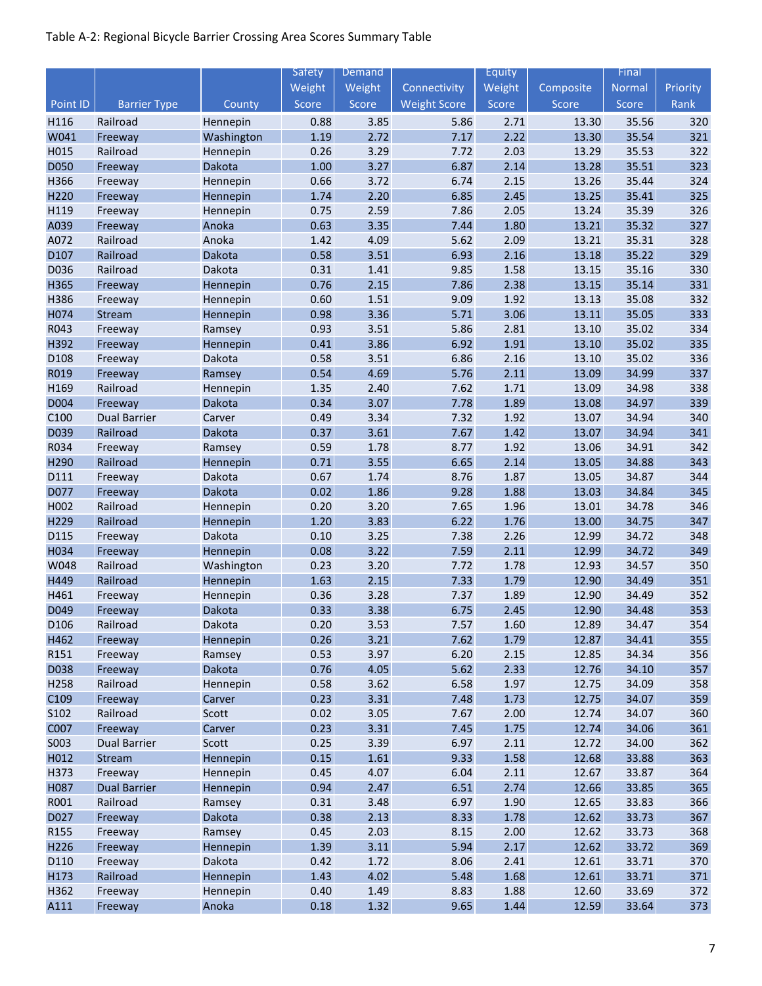|                  |                     |                 | Safety       | Demand       |                     | Equity       |                | Final          |            |
|------------------|---------------------|-----------------|--------------|--------------|---------------------|--------------|----------------|----------------|------------|
|                  |                     |                 | Weight       | Weight       | Connectivity        | Weight       | Composite      | Normal         | Priority   |
| Point ID         | <b>Barrier Type</b> | County          | Score        | Score        | <b>Weight Score</b> | Score        | Score          | Score          | Rank       |
| H116             | Railroad            | Hennepin        | 0.88         | 3.85         | 5.86                | 2.71         | 13.30          | 35.56          | 320        |
| W041             | Freeway             | Washington      | 1.19         | 2.72         | 7.17                | 2.22         | 13.30          | 35.54          | 321        |
| H015             | Railroad            | Hennepin        | 0.26         | 3.29         | 7.72                | 2.03         | 13.29          | 35.53          | 322        |
| D050             | Freeway             | Dakota          | $1.00\,$     | 3.27         | 6.87                | 2.14         | 13.28          | 35.51          | 323        |
| H366             | Freeway             | Hennepin        | 0.66         | 3.72         | 6.74                | 2.15         | 13.26          | 35.44          | 324        |
| H220             | Freeway             | Hennepin        | 1.74         | 2.20         | 6.85                | 2.45         | 13.25          | 35.41          | 325        |
| H119             | Freeway             | Hennepin        | 0.75         | 2.59         | 7.86                | 2.05         | 13.24          | 35.39          | 326        |
| A039             | Freeway             | Anoka           | 0.63         | 3.35         | 7.44                | 1.80         | 13.21          | 35.32          | 327        |
| A072             | Railroad            | Anoka           | 1.42         | 4.09         | 5.62                | 2.09         | 13.21          | 35.31          | 328        |
| D107             | Railroad            | Dakota          | 0.58         | 3.51         | 6.93                | 2.16         | 13.18          | 35.22          | 329        |
| D036             | Railroad            | Dakota          | 0.31         | 1.41         | 9.85                | 1.58         | 13.15          | 35.16          | 330        |
| H365             | Freeway             | Hennepin        | 0.76         | 2.15         | 7.86                | 2.38         | 13.15          | 35.14          | 331        |
| H386             | Freeway             | Hennepin        | 0.60         | 1.51         | 9.09                | 1.92         | 13.13          | 35.08          | 332        |
| H074             | Stream              | Hennepin        | 0.98         | 3.36         | 5.71                | 3.06         | 13.11          | 35.05          | 333        |
| R043             | Freeway             | Ramsey          | 0.93         | 3.51         | 5.86                | 2.81         | 13.10          | 35.02          | 334        |
| H392             | Freeway             | Hennepin        | 0.41         | 3.86         | 6.92                | 1.91         | 13.10          | 35.02          | 335        |
| D108             | Freeway             | Dakota          | 0.58         | 3.51         | 6.86                | 2.16         | 13.10          | 35.02          | 336        |
| R019             | Freeway             | Ramsey          | 0.54         | 4.69         | 5.76                | 2.11         | 13.09          | 34.99          | 337        |
| H169             | Railroad            | Hennepin        | 1.35         | 2.40         | 7.62                | 1.71         | 13.09          | 34.98          | 338        |
| D004             | Freeway             | Dakota          | 0.34         | 3.07         | 7.78                | 1.89         | 13.08          | 34.97          | 339        |
| C100             | <b>Dual Barrier</b> | Carver          | 0.49         | 3.34         | 7.32                | 1.92         | 13.07          | 34.94          | 340        |
| D039             | Railroad            | Dakota          | 0.37         | 3.61         | 7.67                | 1.42         | 13.07          | 34.94          | 341        |
| R034             | Freeway             | Ramsey          | 0.59         | 1.78         | 8.77                | 1.92         | 13.06          | 34.91          | 342        |
| H290             | Railroad            | Hennepin        | 0.71         | 3.55         | 6.65                | 2.14         | 13.05          | 34.88          | 343        |
| D111             | Freeway             | Dakota          | 0.67         | 1.74         | 8.76                | 1.87         | 13.05          | 34.87          | 344        |
| D077             | Freeway             | Dakota          | 0.02         | 1.86         | 9.28                | 1.88         | 13.03          | 34.84          | 345        |
| H002             | Railroad            | Hennepin        | 0.20         | 3.20         | 7.65                | 1.96         | 13.01          | 34.78          | 346        |
| H229             | Railroad            | Hennepin        | 1.20         | 3.83         | 6.22                | 1.76         | 13.00          | 34.75          | 347        |
| D115             | Freeway             | Dakota          | 0.10         | 3.25         | 7.38                | 2.26         | 12.99          | 34.72          | 348        |
| H034             | Freeway             | Hennepin        | 0.08         | 3.22         | 7.59                | 2.11         | 12.99          | 34.72          | 349        |
| W048             | Railroad            | Washington      | 0.23         | 3.20         | 7.72                | 1.78         | 12.93          | 34.57          | 350        |
| H449             | Railroad            | Hennepin        | 1.63         | 2.15         | 7.33                | 1.79         | 12.90          | 34.49          | 351        |
| H461             | Freeway             | Hennepin        | 0.36         | 3.28         | 7.37                | 1.89         | 12.90          | 34.49          | 352        |
| D049             | Freeway             | Dakota          | 0.33         | 3.38         | 6.75                | 2.45         | 12.90          | 34.48          | 353        |
| D <sub>106</sub> | Railroad            | Dakota          | 0.20         | 3.53         | 7.57                | 1.60         | 12.89          | 34.47          | 354        |
| H462             | Freeway             | Hennepin        | 0.26         | 3.21         | 7.62                | 1.79         | 12.87          | 34.41          | 355        |
| R151             | Freeway             | Ramsey          | 0.53         | 3.97         | 6.20                | 2.15         | 12.85          | 34.34          | 356        |
| D038<br>H258     | Freeway<br>Railroad | Dakota          | 0.76<br>0.58 | 4.05<br>3.62 | 5.62<br>6.58        | 2.33<br>1.97 | 12.76<br>12.75 | 34.10<br>34.09 | 357<br>358 |
| C109             |                     | Hennepin        | 0.23         | 3.31         | 7.48                | 1.73         | 12.75          | 34.07          | 359        |
| S102             | Freeway<br>Railroad | Carver          | 0.02         | 3.05         | 7.67                | 2.00         |                | 34.07          | 360        |
| C007             | Freeway             | Scott<br>Carver | 0.23         | 3.31         | 7.45                | 1.75         | 12.74<br>12.74 | 34.06          | 361        |
| S003             | <b>Dual Barrier</b> | Scott           | 0.25         | 3.39         | 6.97                | 2.11         | 12.72          | 34.00          | 362        |
| H012             | Stream              | Hennepin        | 0.15         | 1.61         | 9.33                | 1.58         | 12.68          | 33.88          | 363        |
| H373             | Freeway             | Hennepin        | 0.45         | 4.07         | 6.04                | 2.11         | 12.67          | 33.87          | 364        |
| H087             | <b>Dual Barrier</b> | Hennepin        | 0.94         | 2.47         | 6.51                | 2.74         | 12.66          | 33.85          | 365        |
| R001             | Railroad            | Ramsey          | 0.31         | 3.48         | 6.97                | 1.90         | 12.65          | 33.83          | 366        |
| D027             | Freeway             | Dakota          | 0.38         | 2.13         | 8.33                | 1.78         | 12.62          | 33.73          | 367        |
| R155             | Freeway             | Ramsey          | 0.45         | 2.03         | 8.15                | 2.00         | 12.62          | 33.73          | 368        |
| H226             | Freeway             | Hennepin        | 1.39         | 3.11         | 5.94                | 2.17         | 12.62          | 33.72          | 369        |
| D110             | Freeway             | Dakota          | 0.42         | 1.72         | 8.06                | 2.41         | 12.61          | 33.71          | 370        |
| H173             | Railroad            | Hennepin        | 1.43         | 4.02         | 5.48                | 1.68         | 12.61          | 33.71          | 371        |
| H362             | Freeway             | Hennepin        | 0.40         | 1.49         | 8.83                | 1.88         | 12.60          | 33.69          | 372        |
| A111             | Freeway             | Anoka           | 0.18         | 1.32         | 9.65                | 1.44         | 12.59          | 33.64          | 373        |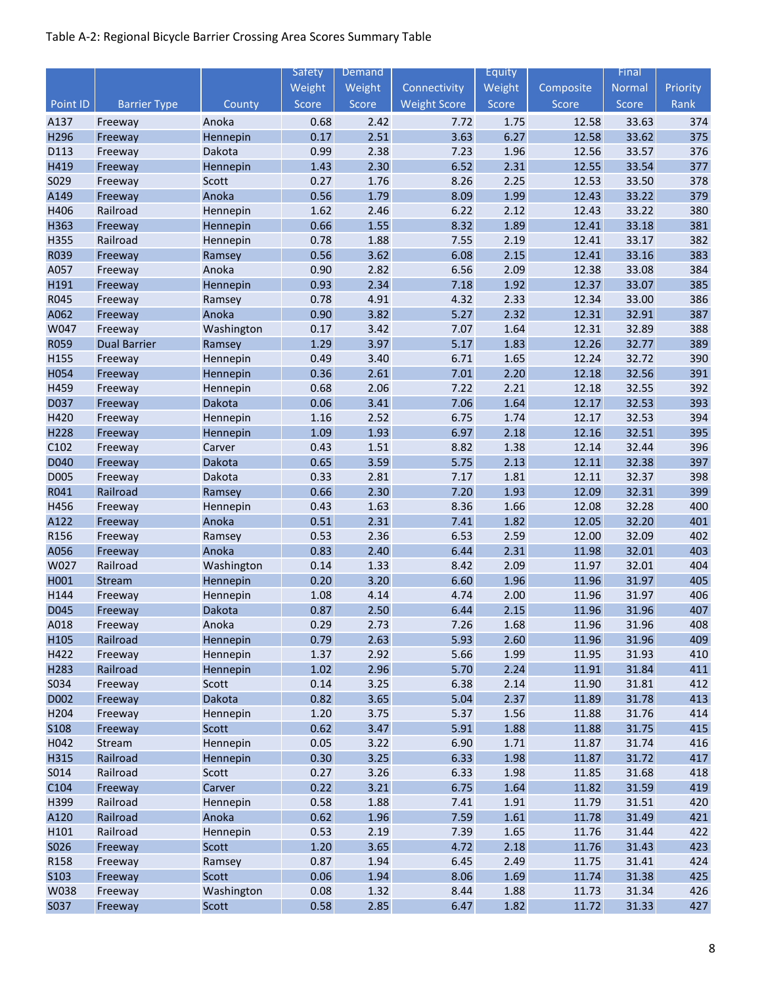|             |                     |            | Safety | Demand |                     | Equity |           | Final  |          |
|-------------|---------------------|------------|--------|--------|---------------------|--------|-----------|--------|----------|
|             |                     |            | Weight | Weight | Connectivity        | Weight | Composite | Normal | Priority |
| Point ID    | <b>Barrier Type</b> | County     | Score  | Score  | <b>Weight Score</b> | Score  | Score     | Score  | Rank     |
| A137        | Freeway             | Anoka      | 0.68   | 2.42   | 7.72                | 1.75   | 12.58     | 33.63  | 374      |
| H296        | Freeway             | Hennepin   | 0.17   | 2.51   | 3.63                | 6.27   | 12.58     | 33.62  | 375      |
| D113        | Freeway             | Dakota     | 0.99   | 2.38   | 7.23                | 1.96   | 12.56     | 33.57  | 376      |
| H419        | Freeway             | Hennepin   | 1.43   | 2.30   | 6.52                | 2.31   | 12.55     | 33.54  | 377      |
| S029        | Freeway             | Scott      | 0.27   | 1.76   | 8.26                | 2.25   | 12.53     | 33.50  | 378      |
| A149        | Freeway             | Anoka      | 0.56   | 1.79   | 8.09                | 1.99   | 12.43     | 33.22  | 379      |
| H406        | Railroad            | Hennepin   | 1.62   | 2.46   | 6.22                | 2.12   | 12.43     | 33.22  | 380      |
| H363        | Freeway             | Hennepin   | 0.66   | 1.55   | 8.32                | 1.89   | 12.41     | 33.18  | 381      |
| H355        | Railroad            | Hennepin   | 0.78   | 1.88   | 7.55                | 2.19   | 12.41     | 33.17  | 382      |
| R039        | Freeway             | Ramsey     | 0.56   | 3.62   | 6.08                | 2.15   | 12.41     | 33.16  | 383      |
| A057        | Freeway             | Anoka      | 0.90   | 2.82   | 6.56                | 2.09   | 12.38     | 33.08  | 384      |
| H191        | Freeway             | Hennepin   | 0.93   | 2.34   | 7.18                | 1.92   | 12.37     | 33.07  | 385      |
| R045        | Freeway             | Ramsey     | 0.78   | 4.91   | 4.32                | 2.33   | 12.34     | 33.00  | 386      |
| A062        | Freeway             | Anoka      | 0.90   | 3.82   | 5.27                | 2.32   | 12.31     | 32.91  | 387      |
| W047        | Freeway             | Washington | 0.17   | 3.42   | 7.07                | 1.64   | 12.31     | 32.89  | 388      |
| R059        | <b>Dual Barrier</b> | Ramsey     | 1.29   | 3.97   | 5.17                | 1.83   | 12.26     | 32.77  | 389      |
| H155        | Freeway             | Hennepin   | 0.49   | 3.40   | 6.71                | 1.65   | 12.24     | 32.72  | 390      |
| H054        | Freeway             | Hennepin   | 0.36   | 2.61   | 7.01                | 2.20   | 12.18     | 32.56  | 391      |
| H459        | Freeway             | Hennepin   | 0.68   | 2.06   | 7.22                | 2.21   | 12.18     | 32.55  | 392      |
| D037        | Freeway             | Dakota     | 0.06   | 3.41   | 7.06                | 1.64   | 12.17     | 32.53  | 393      |
| H420        | Freeway             | Hennepin   | 1.16   | 2.52   | 6.75                | 1.74   | 12.17     | 32.53  | 394      |
| H228        | Freeway             | Hennepin   | 1.09   | 1.93   | 6.97                | 2.18   | 12.16     | 32.51  | 395      |
| C102        | Freeway             | Carver     | 0.43   | 1.51   | 8.82                | 1.38   | 12.14     | 32.44  | 396      |
| D040        | Freeway             | Dakota     | 0.65   | 3.59   | 5.75                | 2.13   | 12.11     | 32.38  | 397      |
| D005        | Freeway             | Dakota     | 0.33   | 2.81   | 7.17                | 1.81   | 12.11     | 32.37  | 398      |
| R041        | Railroad            | Ramsey     | 0.66   | 2.30   | 7.20                | 1.93   | 12.09     | 32.31  | 399      |
| H456        | Freeway             | Hennepin   | 0.43   | 1.63   | 8.36                | 1.66   | 12.08     | 32.28  | 400      |
| A122        | Freeway             | Anoka      | 0.51   | 2.31   | 7.41                | 1.82   | 12.05     | 32.20  | 401      |
| R156        | Freeway             | Ramsey     | 0.53   | 2.36   | 6.53                | 2.59   | 12.00     | 32.09  | 402      |
| A056        | Freeway             | Anoka      | 0.83   | 2.40   | 6.44                | 2.31   | 11.98     | 32.01  | 403      |
| W027        | Railroad            | Washington | 0.14   | 1.33   | 8.42                | 2.09   | 11.97     | 32.01  | 404      |
| H001        | Stream              | Hennepin   | 0.20   | 3.20   | 6.60                | 1.96   | 11.96     | 31.97  | 405      |
| H144        | Freeway             | Hennepin   | 1.08   | 4.14   | 4.74                | 2.00   | 11.96     | 31.97  | 406      |
| D045        | Freeway             | Dakota     | 0.87   | 2.50   | 6.44                | 2.15   | 11.96     | 31.96  | 407      |
| A018        | Freeway             | Anoka      | 0.29   | 2.73   | 7.26                | 1.68   | 11.96     | 31.96  | 408      |
| H105        | Railroad            | Hennepin   | 0.79   | 2.63   | 5.93                | 2.60   | 11.96     | 31.96  | 409      |
| H422        | Freeway             | Hennepin   | 1.37   | 2.92   | 5.66                | 1.99   | 11.95     | 31.93  | 410      |
| H283        | Railroad            | Hennepin   | 1.02   | 2.96   | 5.70                | 2.24   | 11.91     | 31.84  | 411      |
| S034        | Freeway             | Scott      | 0.14   | 3.25   | 6.38                | 2.14   | 11.90     | 31.81  | 412      |
| D002        | Freeway             | Dakota     | 0.82   | 3.65   | 5.04                | 2.37   | 11.89     | 31.78  | 413      |
| H204        | Freeway             | Hennepin   | 1.20   | 3.75   | 5.37                | 1.56   | 11.88     | 31.76  | 414      |
| <b>S108</b> | Freeway             | Scott      | 0.62   | 3.47   | 5.91                | 1.88   | 11.88     | 31.75  | 415      |
| H042        | Stream              | Hennepin   | 0.05   | 3.22   | 6.90                | 1.71   | 11.87     | 31.74  | 416      |
| H315        | Railroad            | Hennepin   | 0.30   | 3.25   | 6.33                | 1.98   | 11.87     | 31.72  | 417      |
| S014        | Railroad            | Scott      | 0.27   | 3.26   | 6.33                | 1.98   | 11.85     | 31.68  | 418      |
| C104        | Freeway             | Carver     | 0.22   | 3.21   | 6.75                | 1.64   | 11.82     | 31.59  | 419      |
| H399        | Railroad            | Hennepin   | 0.58   | 1.88   | 7.41                | 1.91   | 11.79     | 31.51  | 420      |
| A120        | Railroad            | Anoka      | 0.62   | 1.96   | 7.59                | 1.61   | 11.78     | 31.49  | 421      |
| H101        | Railroad            | Hennepin   | 0.53   | 2.19   | 7.39                | 1.65   | 11.76     | 31.44  | 422      |
| S026        | Freeway             | Scott      | 1.20   | 3.65   | 4.72                | 2.18   | 11.76     | 31.43  | 423      |
| R158        | Freeway             | Ramsey     | 0.87   | 1.94   | 6.45                | 2.49   | 11.75     | 31.41  | 424      |
| S103        | Freeway             | Scott      | 0.06   | 1.94   | 8.06                | 1.69   | 11.74     | 31.38  | 425      |
| W038        | Freeway             | Washington | 0.08   | 1.32   | 8.44                | 1.88   | 11.73     | 31.34  | 426      |
| S037        | Freeway             | Scott      | 0.58   | 2.85   | 6.47                | 1.82   | 11.72     | 31.33  | 427      |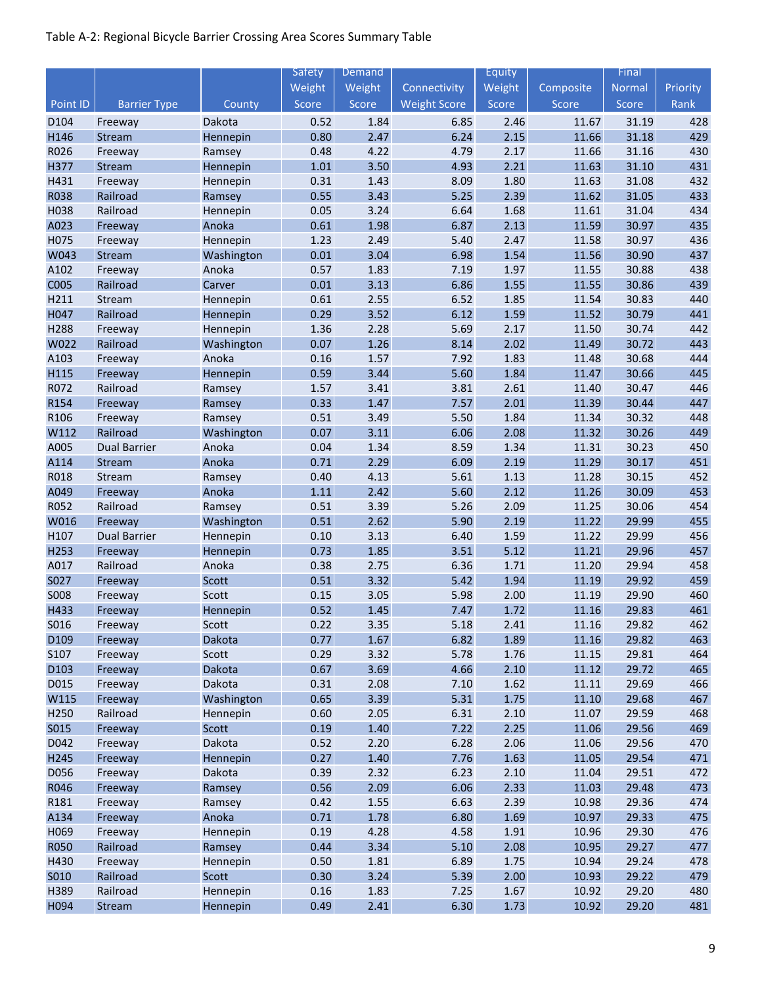|             |                     |            | <b>Safety</b> | Demand |                     | Equity |           | Final  |          |
|-------------|---------------------|------------|---------------|--------|---------------------|--------|-----------|--------|----------|
|             |                     |            | Weight        | Weight | Connectivity        | Weight | Composite | Normal | Priority |
| Point ID    | <b>Barrier Type</b> | County     | Score         | Score  | <b>Weight Score</b> | Score  | Score     | Score  | Rank     |
| D104        | Freeway             | Dakota     | 0.52          | 1.84   | 6.85                | 2.46   | 11.67     | 31.19  | 428      |
| H146        | Stream              | Hennepin   | 0.80          | 2.47   | 6.24                | 2.15   | 11.66     | 31.18  | 429      |
| R026        | Freeway             | Ramsey     | 0.48          | 4.22   | 4.79                | 2.17   | 11.66     | 31.16  | 430      |
| H377        | Stream              | Hennepin   | $1.01\,$      | 3.50   | 4.93                | 2.21   | 11.63     | 31.10  | 431      |
| H431        | Freeway             | Hennepin   | 0.31          | 1.43   | 8.09                | 1.80   | 11.63     | 31.08  | 432      |
| R038        | Railroad            | Ramsey     | 0.55          | 3.43   | 5.25                | 2.39   | 11.62     | 31.05  | 433      |
| H038        | Railroad            | Hennepin   | 0.05          | 3.24   | 6.64                | 1.68   | 11.61     | 31.04  | 434      |
| A023        | Freeway             | Anoka      | 0.61          | 1.98   | 6.87                | 2.13   | 11.59     | 30.97  | 435      |
| H075        | Freeway             | Hennepin   | 1.23          | 2.49   | 5.40                | 2.47   | 11.58     | 30.97  | 436      |
| W043        | Stream              | Washington | 0.01          | 3.04   | 6.98                | 1.54   | 11.56     | 30.90  | 437      |
| A102        | Freeway             | Anoka      | 0.57          | 1.83   | 7.19                | 1.97   | 11.55     | 30.88  | 438      |
| <b>C005</b> | Railroad            | Carver     | 0.01          | 3.13   | 6.86                | 1.55   | 11.55     | 30.86  | 439      |
| H211        | Stream              | Hennepin   | 0.61          | 2.55   | 6.52                | 1.85   | 11.54     | 30.83  | 440      |
| H047        | Railroad            | Hennepin   | 0.29          | 3.52   | 6.12                | 1.59   | 11.52     | 30.79  | 441      |
| H288        | Freeway             | Hennepin   | 1.36          | 2.28   | 5.69                | 2.17   | 11.50     | 30.74  | 442      |
| W022        | Railroad            | Washington | 0.07          | 1.26   | 8.14                | 2.02   | 11.49     | 30.72  | 443      |
| A103        | Freeway             | Anoka      | 0.16          | 1.57   | 7.92                | 1.83   | 11.48     | 30.68  | 444      |
| H115        | Freeway             | Hennepin   | 0.59          | 3.44   | 5.60                | 1.84   | 11.47     | 30.66  | 445      |
| R072        | Railroad            | Ramsey     | 1.57          | 3.41   | 3.81                | 2.61   | 11.40     | 30.47  | 446      |
| R154        | Freeway             | Ramsey     | 0.33          | 1.47   | 7.57                | 2.01   | 11.39     | 30.44  | 447      |
| R106        | Freeway             | Ramsey     | 0.51          | 3.49   | 5.50                | 1.84   | 11.34     | 30.32  | 448      |
| W112        | Railroad            | Washington | 0.07          | 3.11   | 6.06                | 2.08   | 11.32     | 30.26  | 449      |
| A005        | <b>Dual Barrier</b> | Anoka      | 0.04          | 1.34   | 8.59                | 1.34   | 11.31     | 30.23  | 450      |
| A114        | Stream              | Anoka      | 0.71          | 2.29   | 6.09                | 2.19   | 11.29     | 30.17  | 451      |
| R018        | Stream              | Ramsey     | 0.40          | 4.13   | 5.61                | 1.13   | 11.28     | 30.15  | 452      |
| A049        | Freeway             | Anoka      | 1.11          | 2.42   | 5.60                | 2.12   | 11.26     | 30.09  | 453      |
| R052        | Railroad            | Ramsey     | 0.51          | 3.39   | 5.26                | 2.09   | 11.25     | 30.06  | 454      |
| W016        | Freeway             | Washington | 0.51          | 2.62   | 5.90                | 2.19   | 11.22     | 29.99  | 455      |
| H107        | <b>Dual Barrier</b> | Hennepin   | 0.10          | 3.13   | 6.40                | 1.59   | 11.22     | 29.99  | 456      |
| H253        | Freeway             | Hennepin   | 0.73          | 1.85   | 3.51                | 5.12   | 11.21     | 29.96  | 457      |
| A017        | Railroad            | Anoka      | 0.38          | 2.75   | 6.36                | 1.71   | 11.20     | 29.94  | 458      |
| S027        | Freeway             | Scott      | 0.51          | 3.32   | 5.42                | 1.94   | 11.19     | 29.92  | 459      |
| <b>SO08</b> | Freeway             | Scott      | 0.15          | 3.05   | 5.98                | 2.00   | 11.19     | 29.90  | 460      |
| H433        | Freeway             | Hennepin   | 0.52          | 1.45   | 7.47                | 1.72   | 11.16     | 29.83  | 461      |
| S016        | Freeway             | Scott      | 0.22          | 3.35   | 5.18                | 2.41   | 11.16     | 29.82  | 462      |
| D109        | Freeway             | Dakota     | 0.77          | 1.67   | 6.82                | 1.89   | 11.16     | 29.82  | 463      |
| S107        | Freeway             | Scott      | 0.29          | 3.32   | 5.78                | 1.76   | 11.15     | 29.81  | 464      |
| D103        | Freeway             | Dakota     | 0.67          | 3.69   | 4.66                | 2.10   | 11.12     | 29.72  | 465      |
| D015        | Freeway             | Dakota     | 0.31          | 2.08   | 7.10                | 1.62   | 11.11     | 29.69  | 466      |
| W115        | Freeway             | Washington | 0.65          | 3.39   | 5.31                | 1.75   | 11.10     | 29.68  | 467      |
| H250        | Railroad            | Hennepin   | 0.60          | 2.05   | 6.31                | 2.10   | 11.07     | 29.59  | 468      |
| <b>SO15</b> | Freeway             | Scott      | 0.19          | 1.40   | 7.22                | 2.25   | 11.06     | 29.56  | 469      |
| D042        | Freeway             | Dakota     | 0.52          | 2.20   | 6.28                | 2.06   | 11.06     | 29.56  | 470      |
| H245        | Freeway             | Hennepin   | 0.27          | 1.40   | 7.76                | 1.63   | 11.05     | 29.54  | 471      |
| D056        | Freeway             | Dakota     | 0.39          | 2.32   | 6.23                | 2.10   | 11.04     | 29.51  | 472      |
| R046        | Freeway             | Ramsey     | 0.56          | 2.09   | 6.06                | 2.33   | 11.03     | 29.48  | 473      |
| R181        | Freeway             | Ramsey     | 0.42          | 1.55   | 6.63                | 2.39   | 10.98     | 29.36  | 474      |
| A134        | Freeway             | Anoka      | 0.71          | 1.78   | 6.80                | 1.69   | 10.97     | 29.33  | 475      |
| H069        | Freeway             | Hennepin   | 0.19          | 4.28   | 4.58                | 1.91   | 10.96     | 29.30  | 476      |
| <b>R050</b> | Railroad            | Ramsey     | 0.44          | 3.34   | 5.10                | 2.08   | 10.95     | 29.27  | 477      |
| H430        | Freeway             | Hennepin   | 0.50          | 1.81   | 6.89                | 1.75   | 10.94     | 29.24  | 478      |
| S010        | Railroad            | Scott      | 0.30          | 3.24   | 5.39                | 2.00   | 10.93     | 29.22  | 479      |
| H389        | Railroad            | Hennepin   | 0.16          | 1.83   | 7.25                | 1.67   | 10.92     | 29.20  | 480      |
| H094        | Stream              | Hennepin   | 0.49          | 2.41   | 6.30                | 1.73   | 10.92     | 29.20  | 481      |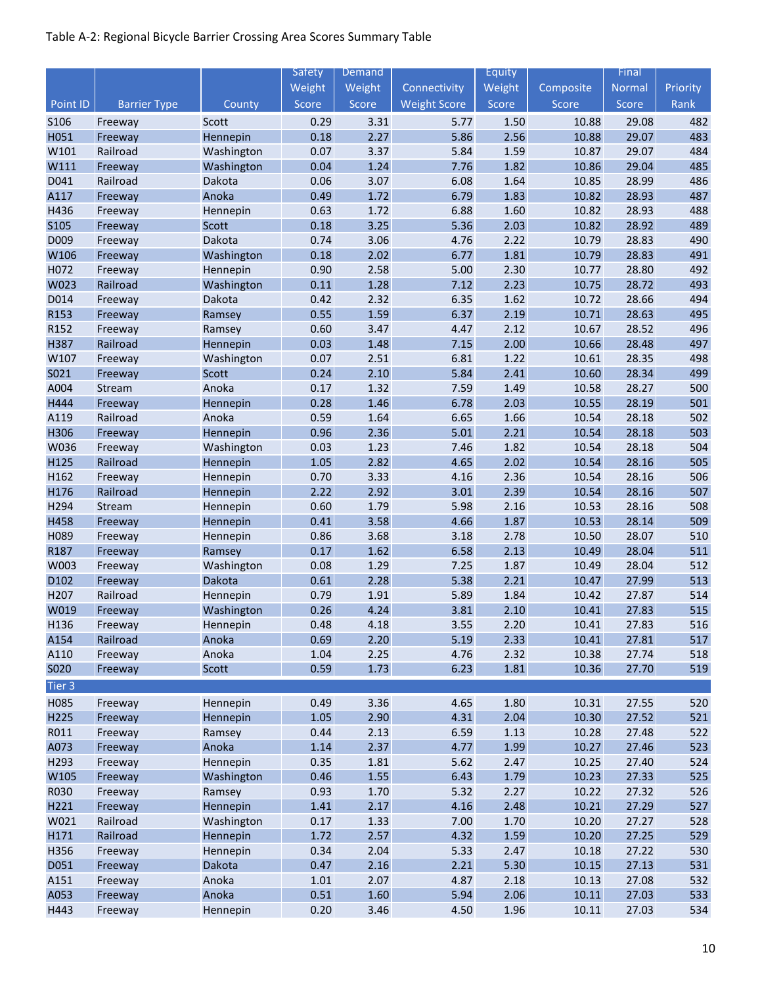|                  |                     |                      | <b>Safety</b> | Demand       |                     | Equity       |                | Final          |            |
|------------------|---------------------|----------------------|---------------|--------------|---------------------|--------------|----------------|----------------|------------|
|                  |                     |                      | Weight        | Weight       | Connectivity        | Weight       | Composite      | Normal         | Priority   |
| Point ID         | <b>Barrier Type</b> | County               | Score         | Score        | <b>Weight Score</b> | Score        | Score          | Score          | Rank       |
| <b>S106</b>      | Freeway             | Scott                | 0.29          | 3.31         | 5.77                | 1.50         | 10.88          | 29.08          | 482        |
| H051             | Freeway             | Hennepin             | 0.18          | 2.27         | 5.86                | 2.56         | 10.88          | 29.07          | 483        |
| W101             | Railroad            | Washington           | 0.07          | 3.37         | 5.84                | 1.59         | 10.87          | 29.07          | 484        |
| W111             | Freeway             | Washington           | 0.04          | 1.24         | 7.76                | 1.82         | 10.86          | 29.04          | 485        |
| D041             | Railroad            | Dakota               | 0.06          | 3.07         | 6.08                | 1.64         | 10.85          | 28.99          | 486        |
| A117             | Freeway             | Anoka                | 0.49          | 1.72         | 6.79                | 1.83         | 10.82          | 28.93          | 487        |
| H436             | Freeway             | Hennepin             | 0.63          | 1.72         | 6.88                | 1.60         | 10.82          | 28.93          | 488        |
| S105             | Freeway             | Scott                | 0.18          | 3.25         | 5.36                | 2.03         | 10.82          | 28.92          | 489        |
| D009             | Freeway             | Dakota               | 0.74          | 3.06         | 4.76                | 2.22         | 10.79          | 28.83          | 490        |
| W106             | Freeway             | Washington           | 0.18          | 2.02         | 6.77                | 1.81         | 10.79          | 28.83          | 491        |
| H072             | Freeway             | Hennepin             | 0.90          | 2.58         | 5.00                | 2.30         | 10.77          | 28.80          | 492        |
| W023             | Railroad            | Washington           | 0.11          | 1.28         | 7.12                | 2.23         | 10.75          | 28.72          | 493        |
| D014             | Freeway             | Dakota               | 0.42          | 2.32         | 6.35                | 1.62         | 10.72          | 28.66          | 494        |
| R153             | Freeway             | Ramsey               | 0.55          | 1.59         | 6.37                | 2.19         | 10.71          | 28.63          | 495        |
| R152             | Freeway             | Ramsey               | 0.60          | 3.47         | 4.47                | 2.12         | 10.67          | 28.52          | 496        |
| H387             | Railroad            | Hennepin             | 0.03          | 1.48         | 7.15                | 2.00         | 10.66          | 28.48          | 497        |
| W107             | Freeway             | Washington           | 0.07          | 2.51         | 6.81                | 1.22         | 10.61          | 28.35          | 498        |
| S021             | Freeway             | Scott                | 0.24          | 2.10         | 5.84                | 2.41         | 10.60          | 28.34          | 499        |
| A004             | Stream              | Anoka                | 0.17          | 1.32         | 7.59                | 1.49         | 10.58          | 28.27          | 500        |
| H444             | Freeway             | Hennepin             | 0.28          | 1.46         | 6.78                | 2.03         | 10.55          | 28.19          | 501        |
| A119             | Railroad            | Anoka                | 0.59          | 1.64         | 6.65                | 1.66         | 10.54          | 28.18          | 502        |
| H306             | Freeway             | Hennepin             | 0.96          | 2.36         | 5.01                | 2.21         | 10.54          | 28.18          | 503<br>504 |
| W036<br>H125     | Freeway<br>Railroad | Washington           | 0.03<br>1.05  | 1.23<br>2.82 | 7.46<br>4.65        | 1.82<br>2.02 | 10.54<br>10.54 | 28.18<br>28.16 | 505        |
| H162             |                     | Hennepin             | 0.70          | 3.33         | 4.16                | 2.36         | 10.54          | 28.16          | 506        |
| H176             | Freeway<br>Railroad | Hennepin<br>Hennepin | 2.22          | 2.92         | 3.01                | 2.39         | 10.54          | 28.16          | 507        |
| H294             | Stream              | Hennepin             | 0.60          | 1.79         | 5.98                | 2.16         | 10.53          | 28.16          | 508        |
| H458             | Freeway             | Hennepin             | 0.41          | 3.58         | 4.66                | 1.87         | 10.53          | 28.14          | 509        |
| H089             | Freeway             | Hennepin             | 0.86          | 3.68         | 3.18                | 2.78         | 10.50          | 28.07          | 510        |
| R187             | Freeway             | Ramsey               | 0.17          | 1.62         | 6.58                | 2.13         | 10.49          | 28.04          | 511        |
| W003             | Freeway             | Washington           | 0.08          | 1.29         | 7.25                | 1.87         | 10.49          | 28.04          | 512        |
| D102             | Freeway             | Dakota               | 0.61          | 2.28         | 5.38                | 2.21         | 10.47          | 27.99          | 513        |
| H207             | Railroad            | Hennepin             | 0.79          | 1.91         | 5.89                | 1.84         | 10.42          | 27.87          | 514        |
| W019             | Freeway             | Washington           | 0.26          | 4.24         | 3.81                | 2.10         | 10.41          | 27.83          | 515        |
| H <sub>136</sub> | Freeway             | Hennepin             | 0.48          | 4.18         | 3.55                | 2.20         | 10.41          | 27.83          | 516        |
| A154             | Railroad            | Anoka                | 0.69          | 2.20         | 5.19                | 2.33         | 10.41          | 27.81          | 517        |
| A110             | Freeway             | Anoka                | 1.04          | 2.25         | 4.76                | 2.32         | 10.38          | 27.74          | 518        |
| <b>SO20</b>      | Freeway             | Scott                | 0.59          | 1.73         | 6.23                | 1.81         | 10.36          | 27.70          | 519        |
| Tier 3           |                     |                      |               |              |                     |              |                |                |            |
| H085             | Freeway             | Hennepin             | 0.49          | 3.36         | 4.65                | 1.80         | 10.31          | 27.55          | 520        |
| H225             | Freeway             | Hennepin             | 1.05          | 2.90         | 4.31                | 2.04         | 10.30          | 27.52          | 521        |
| R011             | Freeway             | Ramsey               | 0.44          | 2.13         | 6.59                | 1.13         | 10.28          | 27.48          | 522        |
| A073             | Freeway             | Anoka                | 1.14          | 2.37         | 4.77                | 1.99         | 10.27          | 27.46          | 523        |
| H293             | Freeway             | Hennepin             | 0.35          | 1.81         | 5.62                | 2.47         | 10.25          | 27.40          | 524        |
| W105             | Freeway             | Washington           | 0.46          | 1.55         | 6.43                | 1.79         | 10.23          | 27.33          | 525        |
| R030             | Freeway             | Ramsey               | 0.93          | 1.70         | 5.32                | 2.27         | 10.22          | 27.32          | 526        |
| H221             | Freeway             | Hennepin             | 1.41          | 2.17         | 4.16                | 2.48         | 10.21          | 27.29          | 527        |
| W021             | Railroad            | Washington           | 0.17          | 1.33         | 7.00                | 1.70         | 10.20          | 27.27          | 528        |
| H171             | Railroad            | Hennepin             | 1.72          | 2.57         | 4.32                | 1.59         | 10.20          | 27.25          | 529        |
| H356             | Freeway             | Hennepin             | 0.34          | 2.04         | 5.33                | 2.47         | 10.18          | 27.22          | 530        |
| D051             | Freeway             | Dakota               | 0.47          | 2.16         | 2.21                | 5.30         | 10.15          | 27.13          | 531        |
| A151             | Freeway             | Anoka                | $1.01\,$      | 2.07         | 4.87                | 2.18         | 10.13          | 27.08          | 532        |
| A053             | Freeway             | Anoka                | 0.51          | 1.60         | 5.94                | 2.06         | 10.11          | 27.03          | 533        |
| H443             | Freeway             | Hennepin             | 0.20          | 3.46         | 4.50                | 1.96         | 10.11          | 27.03          | 534        |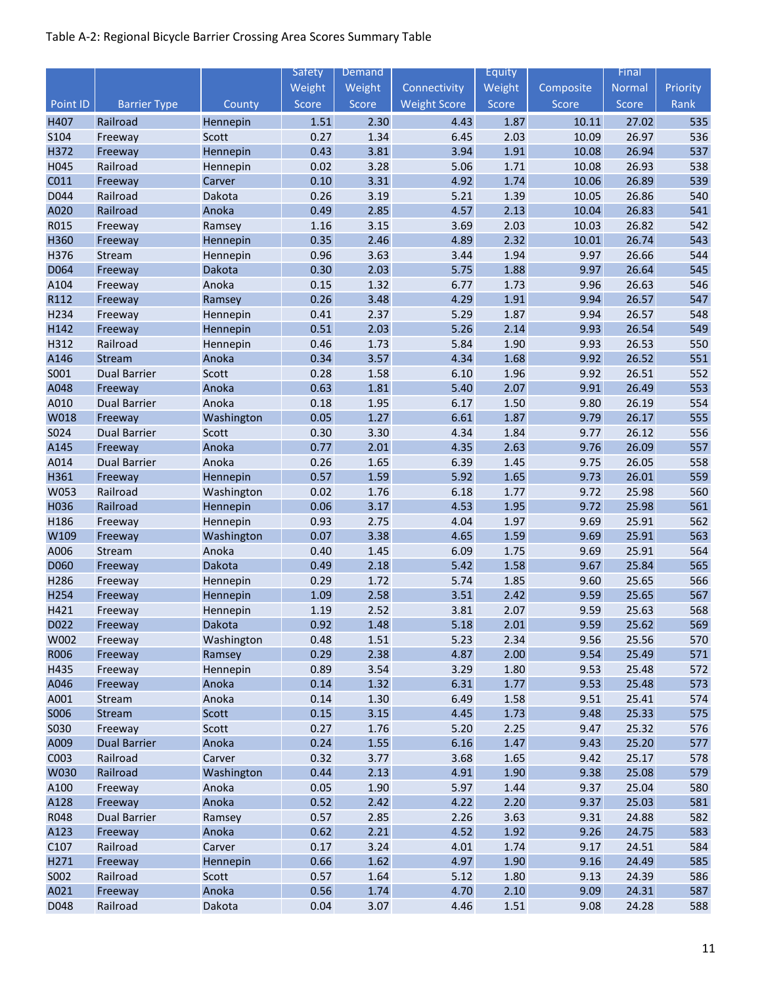|                  |                      |                        | <b>Safety</b> | <b>Demand</b> |                     | Equity       |              | Final          |            |
|------------------|----------------------|------------------------|---------------|---------------|---------------------|--------------|--------------|----------------|------------|
|                  |                      |                        | Weight        | Weight        | Connectivity        | Weight       | Composite    | Normal         | Priority   |
| Point ID         | <b>Barrier Type</b>  | County                 | Score         | Score         | <b>Weight Score</b> | Score        | Score        | Score          | Rank       |
| H407             | Railroad             | Hennepin               | 1.51          | 2.30          | 4.43                | 1.87         | 10.11        | 27.02          | 535        |
| S104             | Freeway              | Scott                  | 0.27          | 1.34          | 6.45                | 2.03         | 10.09        | 26.97          | 536        |
| H372             | Freeway              | Hennepin               | 0.43          | 3.81          | 3.94                | 1.91         | 10.08        | 26.94          | 537        |
| H045             | Railroad             | Hennepin               | 0.02          | 3.28          | 5.06                | 1.71         | 10.08        | 26.93          | 538        |
| C011             | Freeway              | Carver                 | 0.10          | 3.31          | 4.92                | 1.74         | 10.06        | 26.89          | 539        |
| D044             | Railroad             | Dakota                 | 0.26          | 3.19          | 5.21                | 1.39         | 10.05        | 26.86          | 540        |
| A020             | Railroad             | Anoka                  | 0.49          | 2.85          | 4.57                | 2.13         | 10.04        | 26.83          | 541        |
| R015             | Freeway              | Ramsey                 | 1.16          | 3.15          | 3.69                | 2.03         | 10.03        | 26.82          | 542        |
| H360             | Freeway              | Hennepin               | 0.35          | 2.46          | 4.89                | 2.32         | 10.01        | 26.74          | 543        |
| H376             | Stream               | Hennepin               | 0.96          | 3.63          | 3.44                | 1.94         | 9.97         | 26.66          | 544        |
| D064             | Freeway              | Dakota                 | 0.30          | 2.03          | 5.75                | 1.88         | 9.97         | 26.64          | 545        |
| A104             | Freeway              | Anoka                  | 0.15          | 1.32          | 6.77                | 1.73         | 9.96         | 26.63          | 546        |
| R112             | Freeway              | Ramsey                 | 0.26          | 3.48          | 4.29                | 1.91         | 9.94         | 26.57          | 547        |
| H234             | Freeway              | Hennepin               | 0.41          | 2.37          | 5.29                | 1.87         | 9.94         | 26.57          | 548        |
| H142             | Freeway              | Hennepin               | 0.51          | 2.03          | 5.26                | 2.14         | 9.93         | 26.54          | 549        |
| H312             | Railroad             | Hennepin               | 0.46          | 1.73          | 5.84                | 1.90         | 9.93         | 26.53          | 550        |
| A146             | Stream               | Anoka                  | 0.34          | 3.57          | 4.34                | 1.68         | 9.92         | 26.52          | 551        |
| S001             | <b>Dual Barrier</b>  | Scott                  | 0.28          | 1.58          | 6.10                | 1.96         | 9.92         | 26.51          | 552        |
| A048             | Freeway              | Anoka                  | 0.63          | 1.81          | 5.40                | 2.07         | 9.91         | 26.49          | 553        |
| A010             | <b>Dual Barrier</b>  | Anoka                  | 0.18          | 1.95          | 6.17                | 1.50         | 9.80         | 26.19          | 554        |
| W018             | Freeway              | Washington             | 0.05          | 1.27          | 6.61                | 1.87         | 9.79         | 26.17          | 555        |
| S024             | <b>Dual Barrier</b>  | Scott                  | 0.30          | 3.30          | 4.34                | 1.84         | 9.77         | 26.12          | 556        |
| A145             | Freeway              | Anoka                  | 0.77          | 2.01          | 4.35                | 2.63         | 9.76         | 26.09          | 557        |
| A014             | <b>Dual Barrier</b>  | Anoka                  | 0.26          | 1.65          | 6.39                | 1.45         | 9.75         | 26.05          | 558        |
| H361             | Freeway              | Hennepin               | 0.57          | 1.59          | 5.92                | 1.65         | 9.73         | 26.01          | 559        |
| W053<br>H036     | Railroad<br>Railroad | Washington             | 0.02<br>0.06  | 1.76<br>3.17  | 6.18<br>4.53        | 1.77<br>1.95 | 9.72<br>9.72 | 25.98<br>25.98 | 560<br>561 |
| H186             |                      | Hennepin               | 0.93          | 2.75          | 4.04                | 1.97         | 9.69         | 25.91          | 562        |
| W109             | Freeway<br>Freeway   | Hennepin<br>Washington | 0.07          | 3.38          | 4.65                | 1.59         | 9.69         | 25.91          | 563        |
| A006             | Stream               | Anoka                  | 0.40          | 1.45          | 6.09                | 1.75         | 9.69         | 25.91          | 564        |
| D060             | Freeway              | Dakota                 | 0.49          | 2.18          | 5.42                | 1.58         | 9.67         | 25.84          | 565        |
| H286             | Freeway              | Hennepin               | 0.29          | 1.72          | 5.74                | 1.85         | 9.60         | 25.65          | 566        |
| H254             | Freeway              | Hennepin               | 1.09          | 2.58          | 3.51                | 2.42         | 9.59         | 25.65          | 567        |
| H421             | Freeway              | Hennepin               | 1.19          | 2.52          | 3.81                | 2.07         | 9.59         | 25.63          | 568        |
| D <sub>022</sub> | Freeway              | Dakota                 | 0.92          | 1.48          | 5.18                | 2.01         | 9.59         | 25.62          | 569        |
| W002             | Freeway              | Washington             | 0.48          | 1.51          | 5.23                | 2.34         | 9.56         | 25.56          | 570        |
| R006             | Freeway              | Ramsey                 | 0.29          | 2.38          | 4.87                | 2.00         | 9.54         | 25.49          | 571        |
| H435             | Freeway              | Hennepin               | 0.89          | 3.54          | 3.29                | 1.80         | 9.53         | 25.48          | 572        |
| A046             | Freeway              | Anoka                  | 0.14          | 1.32          | 6.31                | 1.77         | 9.53         | 25.48          | 573        |
| A001             | Stream               | Anoka                  | 0.14          | 1.30          | 6.49                | 1.58         | 9.51         | 25.41          | 574        |
| <b>SOO6</b>      | Stream               | Scott                  | 0.15          | 3.15          | 4.45                | 1.73         | 9.48         | 25.33          | 575        |
| <b>S030</b>      | Freeway              | Scott                  | 0.27          | 1.76          | 5.20                | 2.25         | 9.47         | 25.32          | 576        |
| A009             | <b>Dual Barrier</b>  | Anoka                  | 0.24          | 1.55          | 6.16                | 1.47         | 9.43         | 25.20          | 577        |
| C003             | Railroad             | Carver                 | 0.32          | 3.77          | 3.68                | 1.65         | 9.42         | 25.17          | 578        |
| W030             | Railroad             | Washington             | 0.44          | 2.13          | 4.91                | 1.90         | 9.38         | 25.08          | 579        |
| A100             | Freeway              | Anoka                  | 0.05          | 1.90          | 5.97                | 1.44         | 9.37         | 25.04          | 580        |
| A128             | Freeway              | Anoka                  | 0.52          | 2.42          | 4.22                | 2.20         | 9.37         | 25.03          | 581        |
| R048             | <b>Dual Barrier</b>  | Ramsey                 | 0.57          | 2.85          | 2.26                | 3.63         | 9.31         | 24.88          | 582        |
| A123             | Freeway              | Anoka                  | 0.62          | 2.21          | 4.52                | 1.92         | 9.26         | 24.75          | 583        |
| C <sub>107</sub> | Railroad             | Carver                 | 0.17          | 3.24          | 4.01                | 1.74         | 9.17         | 24.51          | 584        |
| H271             | Freeway              | Hennepin               | 0.66          | 1.62          | 4.97                | 1.90         | 9.16         | 24.49          | 585        |
| S002             | Railroad             | Scott                  | 0.57          | 1.64          | 5.12                | 1.80         | 9.13         | 24.39          | 586        |
| A021             | Freeway              | Anoka                  | 0.56          | 1.74          | 4.70                | 2.10         | 9.09         | 24.31          | 587        |
| D048             | Railroad             | Dakota                 | 0.04          | 3.07          | 4.46                | 1.51         | 9.08         | 24.28          | 588        |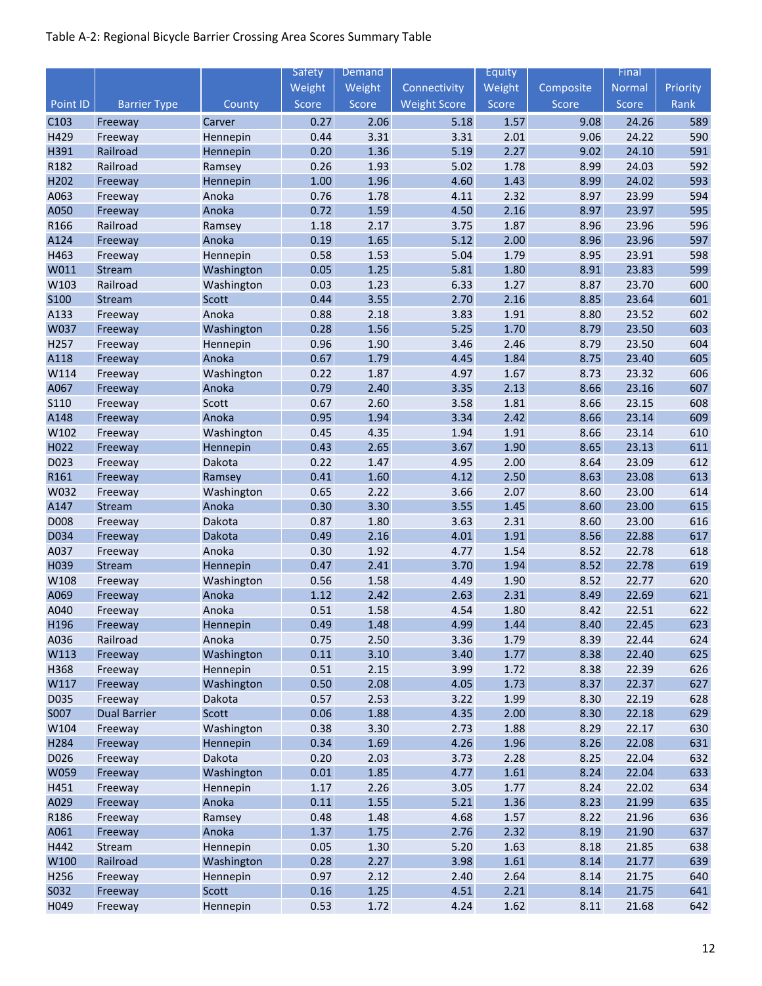|                  |                     |                  | Safety       | Demand       |                     | Equity       |              | Final          |            |
|------------------|---------------------|------------------|--------------|--------------|---------------------|--------------|--------------|----------------|------------|
|                  |                     |                  | Weight       | Weight       | Connectivity        | Weight       | Composite    | Normal         | Priority   |
| Point ID         | <b>Barrier Type</b> | County           | Score        | Score        | <b>Weight Score</b> | Score        | Score        | Score          | Rank       |
| C103             | Freeway             | Carver           | 0.27         | 2.06         | 5.18                | 1.57         | 9.08         | 24.26          | 589        |
| H429             | Freeway             | Hennepin         | 0.44         | 3.31         | 3.31                | 2.01         | 9.06         | 24.22          | 590        |
| H391             | Railroad            | Hennepin         | 0.20         | 1.36         | 5.19                | 2.27         | 9.02         | 24.10          | 591        |
| R182             | Railroad            | Ramsey           | 0.26         | 1.93         | 5.02                | 1.78         | 8.99         | 24.03          | 592        |
| H202             | Freeway             | Hennepin         | 1.00         | 1.96         | 4.60                | 1.43         | 8.99         | 24.02          | 593        |
| A063             | Freeway             | Anoka            | 0.76         | 1.78         | 4.11                | 2.32         | 8.97         | 23.99          | 594        |
| A050             | Freeway             | Anoka            | 0.72         | 1.59         | 4.50                | 2.16         | 8.97         | 23.97          | 595        |
| R166             | Railroad            | Ramsey           | 1.18         | 2.17         | 3.75                | 1.87         | 8.96         | 23.96          | 596        |
| A124             | Freeway             | Anoka            | 0.19         | 1.65         | 5.12                | 2.00         | 8.96         | 23.96          | 597        |
| H463             | Freeway             | Hennepin         | 0.58         | 1.53         | 5.04                | 1.79         | 8.95         | 23.91          | 598        |
| W011             | Stream              | Washington       | 0.05         | 1.25         | 5.81                | 1.80         | 8.91         | 23.83          | 599        |
| W103             | Railroad            | Washington       | 0.03         | 1.23         | 6.33                | 1.27         | 8.87         | 23.70          | 600        |
| S100             | Stream              | Scott            | 0.44         | 3.55         | 2.70                | 2.16         | 8.85         | 23.64          | 601        |
| A133             | Freeway             | Anoka            | 0.88         | 2.18         | 3.83                | 1.91         | 8.80         | 23.52          | 602        |
| W037             | Freeway             | Washington       | 0.28         | 1.56         | 5.25                | 1.70         | 8.79         | 23.50          | 603        |
| H257             | Freeway             | Hennepin         | 0.96         | 1.90         | 3.46                | 2.46         | 8.79         | 23.50          | 604        |
| A118             | Freeway             | Anoka            | 0.67         | 1.79         | 4.45                | 1.84         | 8.75         | 23.40          | 605        |
| W114             | Freeway             | Washington       | 0.22         | 1.87         | 4.97                | 1.67         | 8.73         | 23.32          | 606        |
| A067             | Freeway             | Anoka            | 0.79         | 2.40         | 3.35                | 2.13         | 8.66         | 23.16          | 607        |
| <b>S110</b>      | Freeway             | Scott            | 0.67         | 2.60         | 3.58                | 1.81         | 8.66         | 23.15          | 608        |
| A148             | Freeway             | Anoka            | 0.95         | 1.94         | 3.34                | 2.42         | 8.66         | 23.14          | 609        |
| W102             | Freeway             | Washington       | 0.45         | 4.35         | 1.94                | 1.91         | 8.66         | 23.14          | 610        |
| H022             | Freeway             | Hennepin         | 0.43         | 2.65         | 3.67                | 1.90         | 8.65         | 23.13          | 611        |
| D023             | Freeway             | Dakota           | 0.22         | 1.47         | 4.95                | 2.00         | 8.64         | 23.09          | 612        |
| R161             | Freeway             | Ramsey           | 0.41         | 1.60         | 4.12                | 2.50         | 8.63         | 23.08          | 613        |
| W032             | Freeway             | Washington       | 0.65         | 2.22         | 3.66                | 2.07         | 8.60         | 23.00          | 614        |
| A147             | Stream              | Anoka            | 0.30<br>0.87 | 3.30         | 3.55                | 1.45         | 8.60         | 23.00          | 615<br>616 |
| D008<br>D034     | Freeway<br>Freeway  | Dakota<br>Dakota | 0.49         | 1.80<br>2.16 | 3.63<br>4.01        | 2.31<br>1.91 | 8.60<br>8.56 | 23.00<br>22.88 | 617        |
| A037             | Freeway             | Anoka            | 0.30         | 1.92         | 4.77                | 1.54         | 8.52         | 22.78          | 618        |
| H039             | Stream              | Hennepin         | 0.47         | 2.41         | 3.70                | 1.94         | 8.52         | 22.78          | 619        |
| W108             | Freeway             | Washington       | 0.56         | 1.58         | 4.49                | 1.90         | 8.52         | 22.77          | 620        |
| A069             | Freeway             | Anoka            | 1.12         | 2.42         | 2.63                | 2.31         | 8.49         | 22.69          | 621        |
| A040             | Freeway             | Anoka            | 0.51         | 1.58         | 4.54                | 1.80         | 8.42         | 22.51          | 622        |
| H <sub>196</sub> | Freeway             | Hennepin         | 0.49         | 1.48         | 4.99                | 1.44         | 8.40         | 22.45          | 623        |
| A036             | Railroad            | Anoka            | 0.75         | 2.50         | 3.36                | 1.79         | 8.39         | 22.44          | 624        |
| W113             | Freeway             | Washington       | 0.11         | 3.10         | 3.40                | 1.77         | 8.38         | 22.40          | 625        |
| H368             | Freeway             | Hennepin         | 0.51         | 2.15         | 3.99                | 1.72         | 8.38         | 22.39          | 626        |
| W117             | Freeway             | Washington       | 0.50         | 2.08         | 4.05                | 1.73         | 8.37         | 22.37          | 627        |
| D035             | Freeway             | Dakota           | 0.57         | 2.53         | 3.22                | 1.99         | 8.30         | 22.19          | 628        |
| S007             | <b>Dual Barrier</b> | Scott            | 0.06         | 1.88         | 4.35                | 2.00         | 8.30         | 22.18          | 629        |
| W104             | Freeway             | Washington       | 0.38         | 3.30         | 2.73                | 1.88         | 8.29         | 22.17          | 630        |
| H284             | Freeway             | Hennepin         | 0.34         | 1.69         | 4.26                | 1.96         | 8.26         | 22.08          | 631        |
| D026             | Freeway             | Dakota           | 0.20         | 2.03         | 3.73                | 2.28         | 8.25         | 22.04          | 632        |
| W059             | Freeway             | Washington       | 0.01         | 1.85         | 4.77                | 1.61         | 8.24         | 22.04          | 633        |
| H451             | Freeway             | Hennepin         | 1.17         | 2.26         | 3.05                | 1.77         | 8.24         | 22.02          | 634        |
| A029             | Freeway             | Anoka            | 0.11         | 1.55         | 5.21                | 1.36         | 8.23         | 21.99          | 635        |
| R186             | Freeway             | Ramsey           | 0.48         | 1.48         | 4.68                | 1.57         | 8.22         | 21.96          | 636        |
| A061             | Freeway             | Anoka            | 1.37         | 1.75         | 2.76                | 2.32         | 8.19         | 21.90          | 637        |
| H442             | Stream              | Hennepin         | 0.05         | 1.30         | 5.20                | 1.63         | 8.18         | 21.85          | 638        |
| W100             | Railroad            | Washington       | 0.28         | 2.27         | 3.98                | 1.61         | 8.14         | 21.77          | 639        |
| H256             | Freeway             | Hennepin         | 0.97         | 2.12         | 2.40                | 2.64         | 8.14         | 21.75          | 640        |
| S032             | Freeway             | Scott            | 0.16         | $1.25$       | 4.51                | 2.21         | 8.14         | 21.75          | 641        |
| H049             | Freeway             | Hennepin         | 0.53         | 1.72         | 4.24                | 1.62         | 8.11         | 21.68          | 642        |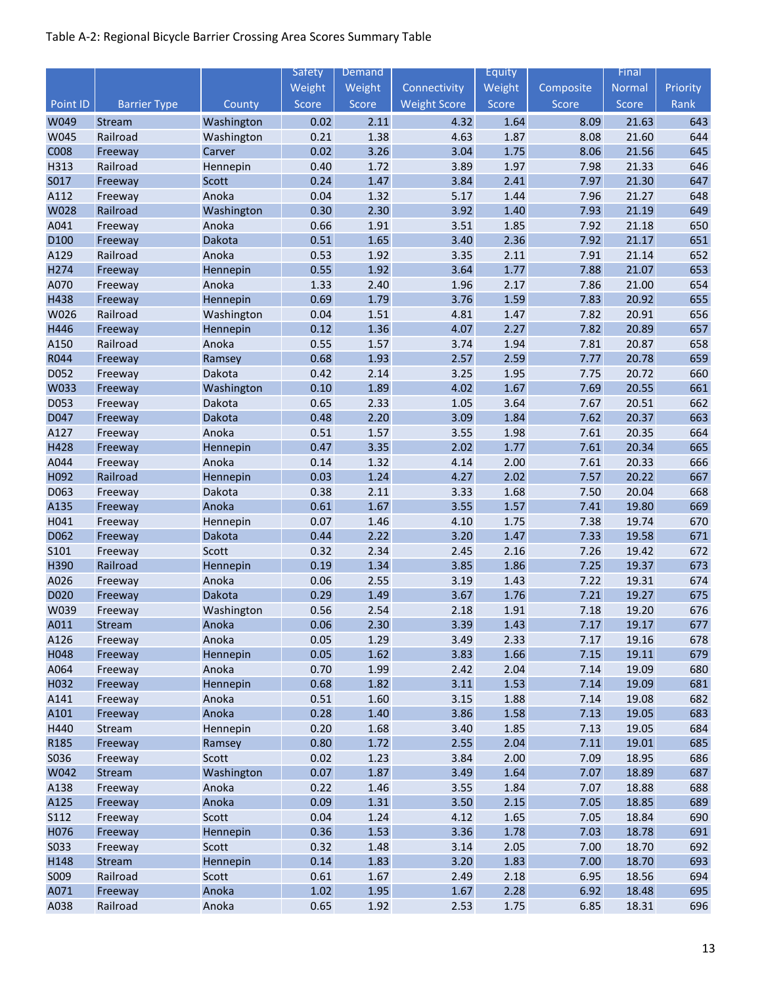|              |                     |                    | Safety       | Demand       |                     | Equity       |              | Final          |            |
|--------------|---------------------|--------------------|--------------|--------------|---------------------|--------------|--------------|----------------|------------|
|              |                     |                    | Weight       | Weight       | Connectivity        | Weight       | Composite    | <b>Normal</b>  | Priority   |
| Point ID     | <b>Barrier Type</b> | County             | Score        | Score        | <b>Weight Score</b> | Score        | Score        | Score          | Rank       |
| W049         | Stream              | Washington         | 0.02         | 2.11         | 4.32                | 1.64         | 8.09         | 21.63          | 643        |
| W045         | Railroad            | Washington         | 0.21         | 1.38         | 4.63                | 1.87         | 8.08         | 21.60          | 644        |
| <b>C008</b>  | Freeway             | Carver             | 0.02         | 3.26         | 3.04                | 1.75         | 8.06         | 21.56          | 645        |
| H313         | Railroad            | Hennepin           | 0.40         | 1.72         | 3.89                | 1.97         | 7.98         | 21.33          | 646        |
| S017         | Freeway             | Scott              | 0.24         | 1.47         | 3.84                | 2.41         | 7.97         | 21.30          | 647        |
| A112         | Freeway             | Anoka              | 0.04         | 1.32         | 5.17                | 1.44         | 7.96         | 21.27          | 648        |
| W028         | Railroad            | Washington         | 0.30         | 2.30         | 3.92                | 1.40         | 7.93         | 21.19          | 649        |
| A041         | Freeway             | Anoka              | 0.66         | 1.91         | 3.51                | 1.85         | 7.92         | 21.18          | 650        |
| D100         | Freeway             | Dakota             | 0.51         | 1.65         | 3.40                | 2.36         | 7.92         | 21.17          | 651        |
| A129         | Railroad            | Anoka              | 0.53         | 1.92         | 3.35                | 2.11         | 7.91         | 21.14          | 652        |
| H274         | Freeway             | Hennepin           | 0.55         | 1.92         | 3.64                | 1.77         | 7.88         | 21.07          | 653        |
| A070         | Freeway             | Anoka              | 1.33         | 2.40         | 1.96                | 2.17         | 7.86         | 21.00          | 654        |
| H438         | Freeway             | Hennepin           | 0.69         | 1.79         | 3.76                | 1.59         | 7.83         | 20.92          | 655        |
| W026         | Railroad            | Washington         | 0.04         | 1.51         | 4.81                | 1.47         | 7.82         | 20.91          | 656        |
| H446         | Freeway             | Hennepin           | 0.12         | 1.36         | 4.07                | 2.27         | 7.82         | 20.89          | 657        |
| A150         | Railroad            | Anoka              | 0.55         | 1.57         | 3.74                | 1.94         | 7.81         | 20.87          | 658        |
| R044         | Freeway             | Ramsey             | 0.68         | 1.93         | 2.57                | 2.59         | 7.77         | 20.78          | 659        |
| D052         | Freeway             | Dakota             | 0.42         | 2.14         | 3.25                | 1.95         | 7.75         | 20.72          | 660        |
| W033         | Freeway             | Washington         | 0.10         | 1.89         | 4.02                | 1.67         | 7.69         | 20.55          | 661        |
| D053         | Freeway             | Dakota             | 0.65         | 2.33         | 1.05                | 3.64         | 7.67         | 20.51          | 662        |
| D047         | Freeway             | Dakota             | 0.48         | 2.20         | 3.09                | 1.84         | 7.62         | 20.37          | 663        |
| A127         | Freeway             | Anoka              | 0.51         | 1.57         | 3.55                | 1.98         | 7.61         | 20.35          | 664        |
| H428         | Freeway             | Hennepin           | 0.47         | 3.35         | 2.02                | 1.77         | 7.61         | 20.34          | 665        |
| A044         | Freeway             | Anoka              | 0.14         | 1.32         | 4.14                | 2.00         | 7.61         | 20.33          | 666        |
| H092         | Railroad            | Hennepin           | 0.03         | 1.24         | 4.27                | 2.02         | 7.57         | 20.22          | 667        |
| D063<br>A135 | Freeway             | Dakota<br>Anoka    | 0.38<br>0.61 | 2.11<br>1.67 | 3.33<br>3.55        | 1.68<br>1.57 | 7.50<br>7.41 | 20.04<br>19.80 | 668<br>669 |
| H041         | Freeway             |                    | 0.07         | 1.46         | 4.10                | 1.75         | 7.38         | 19.74          | 670        |
| D062         | Freeway<br>Freeway  | Hennepin<br>Dakota | 0.44         | 2.22         | 3.20                | 1.47         | 7.33         | 19.58          | 671        |
| S101         | Freeway             | Scott              | 0.32         | 2.34         | 2.45                | 2.16         | 7.26         | 19.42          | 672        |
| H390         | Railroad            | Hennepin           | 0.19         | 1.34         | 3.85                | 1.86         | 7.25         | 19.37          | 673        |
| A026         | Freeway             | Anoka              | 0.06         | 2.55         | 3.19                | 1.43         | 7.22         | 19.31          | 674        |
| D020         | Freeway             | Dakota             | 0.29         | 1.49         | 3.67                | 1.76         | 7.21         | 19.27          | 675        |
| W039         | Freeway             | Washington         | 0.56         | 2.54         | 2.18                | 1.91         | 7.18         | 19.20          | 676        |
| A011         | Stream              | Anoka              | 0.06         | 2.30         | 3.39                | 1.43         | 7.17         | 19.17          | 677        |
| A126         | Freeway             | Anoka              | 0.05         | 1.29         | 3.49                | 2.33         | 7.17         | 19.16          | 678        |
| H048         | Freeway             | Hennepin           | 0.05         | 1.62         | 3.83                | 1.66         | 7.15         | 19.11          | 679        |
| A064         | Freeway             | Anoka              | 0.70         | 1.99         | 2.42                | 2.04         | 7.14         | 19.09          | 680        |
| H032         | Freeway             | Hennepin           | 0.68         | 1.82         | 3.11                | 1.53         | 7.14         | 19.09          | 681        |
| A141         | Freeway             | Anoka              | 0.51         | 1.60         | 3.15                | 1.88         | 7.14         | 19.08          | 682        |
| A101         | Freeway             | Anoka              | 0.28         | 1.40         | 3.86                | 1.58         | 7.13         | 19.05          | 683        |
| H440         | Stream              | Hennepin           | 0.20         | 1.68         | 3.40                | 1.85         | 7.13         | 19.05          | 684        |
| R185         | Freeway             | Ramsey             | 0.80         | 1.72         | 2.55                | 2.04         | 7.11         | 19.01          | 685        |
| S036         | Freeway             | Scott              | 0.02         | 1.23         | 3.84                | 2.00         | 7.09         | 18.95          | 686        |
| W042         | Stream              | Washington         | 0.07         | 1.87         | 3.49                | 1.64         | 7.07         | 18.89          | 687        |
| A138         | Freeway             | Anoka              | 0.22         | 1.46         | 3.55                | 1.84         | 7.07         | 18.88          | 688        |
| A125         | Freeway             | Anoka              | 0.09         | 1.31         | 3.50                | 2.15         | 7.05         | 18.85          | 689        |
| S112         | Freeway             | Scott              | 0.04         | 1.24         | 4.12                | 1.65         | 7.05         | 18.84          | 690        |
| H076         | Freeway             | Hennepin           | 0.36         | 1.53         | 3.36                | 1.78         | 7.03         | 18.78          | 691        |
| S033         | Freeway             | Scott              | 0.32         | 1.48         | 3.14                | 2.05         | 7.00         | 18.70          | 692        |
| H148         | Stream              | Hennepin           | 0.14         | 1.83         | 3.20                | 1.83         | 7.00         | 18.70          | 693        |
| S009         | Railroad            | Scott              | 0.61         | 1.67         | 2.49                | 2.18         | 6.95         | 18.56          | 694        |
| A071         | Freeway             | Anoka              | 1.02         | 1.95         | 1.67                | 2.28         | 6.92         | 18.48          | 695        |
| A038         | Railroad            | Anoka              | 0.65         | 1.92         | 2.53                | 1.75         | 6.85         | 18.31          | 696        |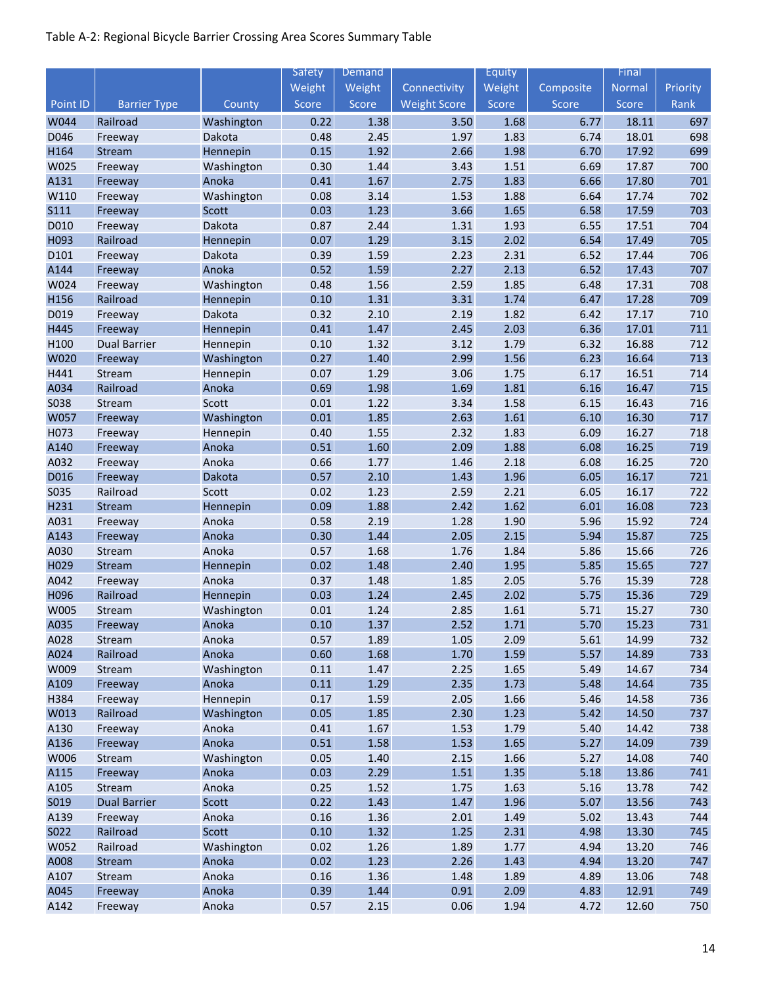|              |                     |                | Safety       | <b>Demand</b> |                     | <b>Equity</b> |              | Final          |            |
|--------------|---------------------|----------------|--------------|---------------|---------------------|---------------|--------------|----------------|------------|
|              |                     |                | Weight       | Weight        | Connectivity        | Weight        | Composite    | Normal         | Priority   |
| Point ID     | <b>Barrier Type</b> | County         | Score        | Score         | <b>Weight Score</b> | Score         | Score        | Score          | Rank       |
| W044         | Railroad            | Washington     | 0.22         | 1.38          | 3.50                | 1.68          | 6.77         | 18.11          | 697        |
| D046         | Freeway             | Dakota         | 0.48         | 2.45          | 1.97                | 1.83          | 6.74         | 18.01          | 698        |
| H164         | Stream              | Hennepin       | 0.15         | 1.92          | 2.66                | 1.98          | 6.70         | 17.92          | 699        |
| W025         | Freeway             | Washington     | 0.30         | 1.44          | 3.43                | 1.51          | 6.69         | 17.87          | 700        |
| A131         | Freeway             | Anoka          | 0.41         | 1.67          | 2.75                | 1.83          | 6.66         | 17.80          | 701        |
| W110         | Freeway             | Washington     | 0.08         | 3.14          | 1.53                | 1.88          | 6.64         | 17.74          | 702        |
| <b>S111</b>  | Freeway             | Scott          | 0.03         | 1.23          | 3.66                | 1.65          | 6.58         | 17.59          | 703        |
| D010         | Freeway             | Dakota         | 0.87         | 2.44          | 1.31                | 1.93          | 6.55         | 17.51          | 704        |
| H093         | Railroad            | Hennepin       | 0.07         | 1.29          | 3.15                | 2.02          | 6.54         | 17.49          | 705        |
| D101         | Freeway             | Dakota         | 0.39         | 1.59          | 2.23                | 2.31          | 6.52         | 17.44          | 706        |
| A144         | Freeway             | Anoka          | 0.52         | 1.59          | 2.27                | 2.13          | 6.52         | 17.43          | 707        |
| W024         | Freeway             | Washington     | 0.48         | 1.56          | 2.59                | 1.85          | 6.48         | 17.31          | 708        |
| H156         | Railroad            | Hennepin       | 0.10         | 1.31          | 3.31                | 1.74          | 6.47         | 17.28          | 709        |
| D019         | Freeway             | Dakota         | 0.32         | 2.10          | 2.19                | 1.82          | 6.42         | 17.17          | 710        |
| H445         | Freeway             | Hennepin       | 0.41         | 1.47          | 2.45                | 2.03          | 6.36         | 17.01          | 711        |
| H100         | <b>Dual Barrier</b> | Hennepin       | 0.10         | 1.32          | 3.12                | 1.79          | 6.32         | 16.88          | 712        |
| W020         | Freeway             | Washington     | 0.27         | 1.40          | 2.99                | 1.56          | 6.23         | 16.64          | 713        |
| H441         | Stream              | Hennepin       | 0.07         | 1.29          | 3.06                | 1.75          | 6.17         | 16.51          | 714        |
| A034         | Railroad            | Anoka          | 0.69         | 1.98          | 1.69                | 1.81          | 6.16         | 16.47          | 715        |
| <b>S038</b>  | Stream              | Scott          | 0.01         | 1.22          | 3.34                | 1.58          | 6.15         | 16.43          | 716        |
| W057         | Freeway             | Washington     | 0.01         | 1.85          | 2.63                | 1.61          | 6.10         | 16.30          | 717        |
| H073         | Freeway             | Hennepin       | 0.40         | 1.55          | 2.32                | 1.83          | 6.09         | 16.27          | 718        |
| A140         | Freeway             | Anoka          | 0.51         | 1.60          | 2.09                | 1.88          | 6.08         | 16.25          | 719        |
| A032         | Freeway             | Anoka          | 0.66         | 1.77          | 1.46                | 2.18          | 6.08         | 16.25          | 720        |
| D016         | Freeway             | Dakota         | 0.57         | 2.10          | 1.43                | 1.96          | 6.05         | 16.17          | 721        |
| S035         | Railroad            | Scott          | 0.02         | 1.23          | 2.59                | 2.21          | 6.05         | 16.17          | 722        |
| H231         | Stream              | Hennepin       | 0.09         | 1.88          | 2.42                | 1.62          | 6.01         | 16.08          | 723        |
| A031         | Freeway             | Anoka          | 0.58         | 2.19          | 1.28                | 1.90          | 5.96         | 15.92          | 724        |
| A143         | Freeway             | Anoka          | 0.30         | 1.44          | 2.05                | 2.15          | 5.94         | 15.87          | 725        |
| A030         | Stream              | Anoka          | 0.57         | 1.68          | 1.76                | 1.84          | 5.86         | 15.66          | 726        |
| H029         | Stream              | Hennepin       | 0.02         | 1.48          | 2.40                | 1.95          | 5.85         | 15.65          | 727        |
| A042         | Freeway             | Anoka          | 0.37         | 1.48          | 1.85                | 2.05          | 5.76         | 15.39          | 728        |
| H096         | Railroad            | Hennepin       | 0.03         | 1.24          | 2.45                | 2.02          | 5.75         | 15.36          | 729        |
| W005         | Stream              | Washington     | 0.01         | 1.24          | 2.85                | 1.61          | 5.71         | 15.27          | 730        |
| A035         | Freeway             | Anoka          | 0.10         | 1.37          | 2.52                | 1.71          | 5.70         | 15.23          | 731        |
| A028         | Stream              | Anoka          | 0.57         | 1.89          | 1.05                | 2.09          | 5.61         | 14.99          | 732        |
| A024         | Railroad            | Anoka          | 0.60         | 1.68          | 1.70                | 1.59          | 5.57         | 14.89          | 733        |
| W009         | Stream              | Washington     | 0.11         | 1.47          | 2.25                | 1.65          | 5.49         | 14.67          | 734        |
| A109         | Freeway             | Anoka          | 0.11         | 1.29          | 2.35                | 1.73          | 5.48         | 14.64          | 735        |
| H384         | Freeway             | Hennepin       | 0.17         | 1.59          | 2.05                | 1.66          | 5.46         | 14.58          | 736        |
| W013         | Railroad            | Washington     | 0.05         | 1.85          | 2.30                | 1.23          | 5.42         | 14.50          | 737        |
| A130         | Freeway             | Anoka          | 0.41         | 1.67          | 1.53                | 1.79          | 5.40         | 14.42          | 738        |
| A136         | Freeway             | Anoka          | 0.51         | 1.58          | 1.53                | 1.65          | 5.27         | 14.09          | 739        |
| W006         | Stream              | Washington     | 0.05         | 1.40          | 2.15                | 1.66          | 5.27         | 14.08          | 740        |
| A115         | Freeway             | Anoka          | 0.03         | 2.29          | $1.51\,$            | 1.35          | 5.18         | 13.86          | 741        |
| A105         | Stream              | Anoka          | 0.25         | 1.52          | 1.75                | 1.63          | 5.16         | 13.78          | 742        |
| S019         | <b>Dual Barrier</b> | Scott          | 0.22         | 1.43          | 1.47                | 1.96          | 5.07         | 13.56          | 743        |
| A139         | Freeway             | Anoka          | 0.16         | 1.36          | 2.01                | 1.49          | 5.02         | 13.43          | 744        |
| S022         | Railroad            | Scott          | 0.10         | 1.32          | 1.25                | 2.31          | 4.98         | 13.30          | 745        |
| W052         | Railroad            | Washington     | 0.02         | 1.26          | 1.89                | 1.77          | 4.94         | 13.20          | 746        |
| A008         | Stream              | Anoka          | 0.02         | 1.23          | 2.26                | 1.43          | 4.94         | 13.20          | 747        |
| A107<br>A045 | Stream              | Anoka          | 0.16<br>0.39 | 1.36<br>1.44  | 1.48<br>0.91        | 1.89<br>2.09  | 4.89<br>4.83 | 13.06          | 748<br>749 |
| A142         | Freeway             | Anoka<br>Anoka | 0.57         | 2.15          | 0.06                | 1.94          | 4.72         | 12.91<br>12.60 | 750        |
|              | Freeway             |                |              |               |                     |               |              |                |            |